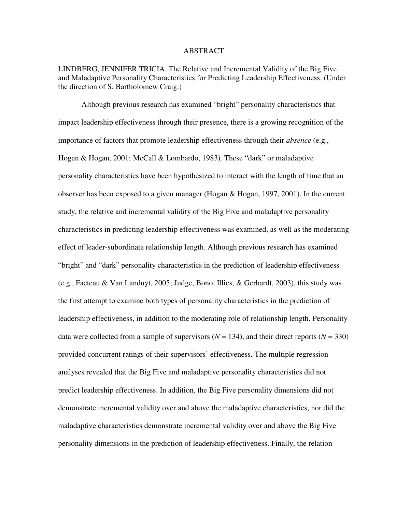#### ABSTRACT

LINDBERG, JENNIFER TRICIA. The Relative and Incremental Validity of the Big Five and Maladaptive Personality Characteristics for Predicting Leadership Effectiveness. (Under the direction of S. Bartholomew Craig.)

 Although previous research has examined "bright" personality characteristics that impact leadership effectiveness through their presence, there is a growing recognition of the importance of factors that promote leadership effectiveness through their *absence* (e.g., Hogan & Hogan, 2001; McCall & Lombardo, 1983). These "dark" or maladaptive personality characteristics have been hypothesized to interact with the length of time that an observer has been exposed to a given manager (Hogan & Hogan, 1997, 2001). In the current study, the relative and incremental validity of the Big Five and maladaptive personality characteristics in predicting leadership effectiveness was examined, as well as the moderating effect of leader-subordinate relationship length. Although previous research has examined "bright" and "dark" personality characteristics in the prediction of leadership effectiveness (e.g., Facteau & Van Landuyt, 2005; Judge, Bono, Illies, & Gerhardt, 2003), this study was the first attempt to examine both types of personality characteristics in the prediction of leadership effectiveness, in addition to the moderating role of relationship length. Personality data were collected from a sample of supervisors  $(N = 134)$ , and their direct reports  $(N = 330)$ provided concurrent ratings of their supervisors' effectiveness. The multiple regression analyses revealed that the Big Five and maladaptive personality characteristics did not predict leadership effectiveness. In addition, the Big Five personality dimensions did not demonstrate incremental validity over and above the maladaptive characteristics, nor did the maladaptive characteristics demonstrate incremental validity over and above the Big Five personality dimensions in the prediction of leadership effectiveness. Finally, the relation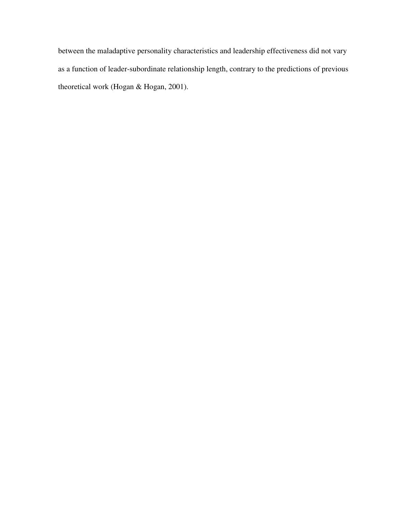between the maladaptive personality characteristics and leadership effectiveness did not vary as a function of leader-subordinate relationship length, contrary to the predictions of previous theoretical work (Hogan & Hogan, 2001).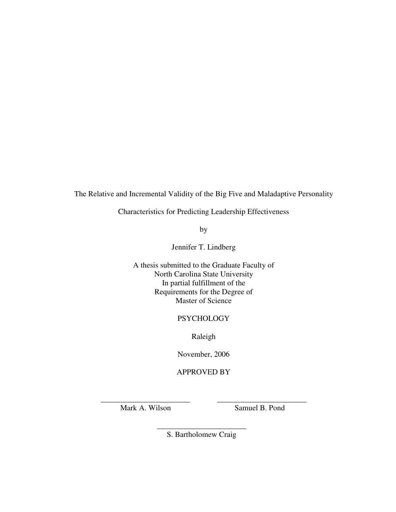The Relative and Incremental Validity of the Big Five and Maladaptive Personality

Characteristics for Predicting Leadership Effectiveness

by

Jennifer T. Lindberg

A thesis submitted to the Graduate Faculty of North Carolina State University In partial fulfillment of the Requirements for the Degree of Master of Science

### **PSYCHOLOGY**

Raleigh

November, 2006

### APPROVED BY

\_\_\_\_\_\_\_\_\_\_\_\_\_\_\_\_\_\_\_\_\_\_\_ \_\_\_\_\_\_\_\_\_\_\_\_\_\_\_\_\_\_\_\_\_\_\_ Mark A. Wilson Samuel B. Pond

> \_\_\_\_\_\_\_\_\_\_\_\_\_\_\_\_\_\_\_\_\_\_\_ S. Bartholomew Craig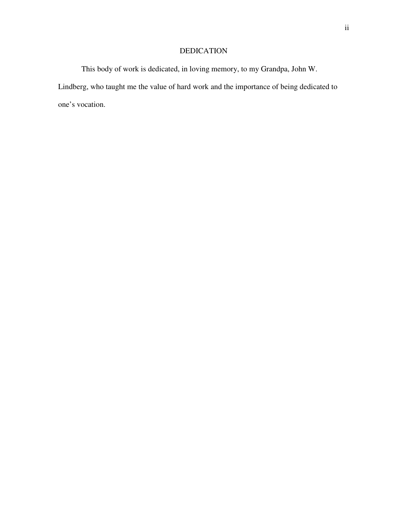### DEDICATION

This body of work is dedicated, in loving memory, to my Grandpa, John W. Lindberg, who taught me the value of hard work and the importance of being dedicated to one's vocation.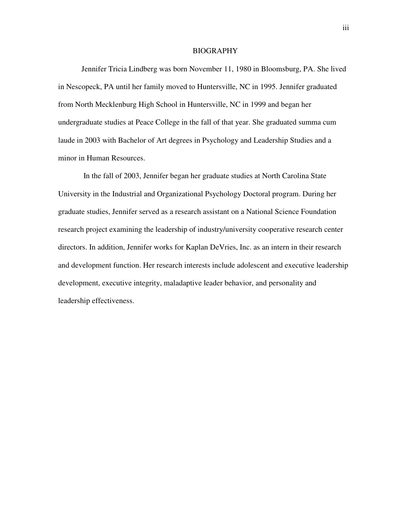#### BIOGRAPHY

Jennifer Tricia Lindberg was born November 11, 1980 in Bloomsburg, PA. She lived in Nescopeck, PA until her family moved to Huntersville, NC in 1995. Jennifer graduated from North Mecklenburg High School in Huntersville, NC in 1999 and began her undergraduate studies at Peace College in the fall of that year. She graduated summa cum laude in 2003 with Bachelor of Art degrees in Psychology and Leadership Studies and a minor in Human Resources.

 In the fall of 2003, Jennifer began her graduate studies at North Carolina State University in the Industrial and Organizational Psychology Doctoral program. During her graduate studies, Jennifer served as a research assistant on a National Science Foundation research project examining the leadership of industry/university cooperative research center directors. In addition, Jennifer works for Kaplan DeVries, Inc. as an intern in their research and development function. Her research interests include adolescent and executive leadership development, executive integrity, maladaptive leader behavior, and personality and leadership effectiveness.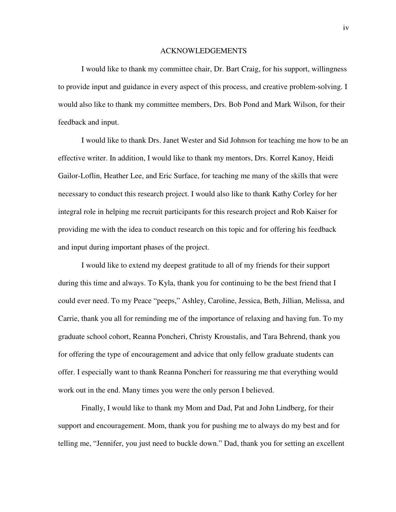#### ACKNOWLEDGEMENTS

I would like to thank my committee chair, Dr. Bart Craig, for his support, willingness to provide input and guidance in every aspect of this process, and creative problem-solving. I would also like to thank my committee members, Drs. Bob Pond and Mark Wilson, for their feedback and input.

 I would like to thank Drs. Janet Wester and Sid Johnson for teaching me how to be an effective writer. In addition, I would like to thank my mentors, Drs. Korrel Kanoy, Heidi Gailor-Loflin, Heather Lee, and Eric Surface, for teaching me many of the skills that were necessary to conduct this research project. I would also like to thank Kathy Corley for her integral role in helping me recruit participants for this research project and Rob Kaiser for providing me with the idea to conduct research on this topic and for offering his feedback and input during important phases of the project.

 I would like to extend my deepest gratitude to all of my friends for their support during this time and always. To Kyla, thank you for continuing to be the best friend that I could ever need. To my Peace "peeps," Ashley, Caroline, Jessica, Beth, Jillian, Melissa, and Carrie, thank you all for reminding me of the importance of relaxing and having fun. To my graduate school cohort, Reanna Poncheri, Christy Kroustalis, and Tara Behrend, thank you for offering the type of encouragement and advice that only fellow graduate students can offer. I especially want to thank Reanna Poncheri for reassuring me that everything would work out in the end. Many times you were the only person I believed.

 Finally, I would like to thank my Mom and Dad, Pat and John Lindberg, for their support and encouragement. Mom, thank you for pushing me to always do my best and for telling me, "Jennifer, you just need to buckle down." Dad, thank you for setting an excellent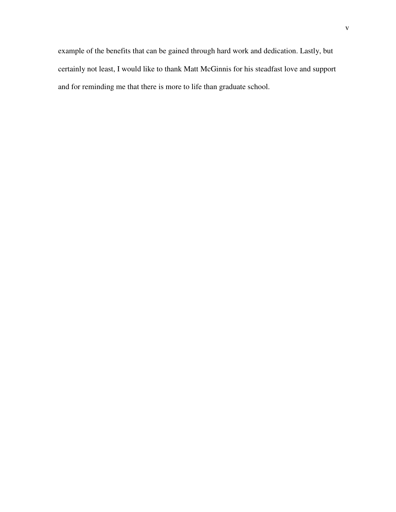example of the benefits that can be gained through hard work and dedication. Lastly, but certainly not least, I would like to thank Matt McGinnis for his steadfast love and support and for reminding me that there is more to life than graduate school.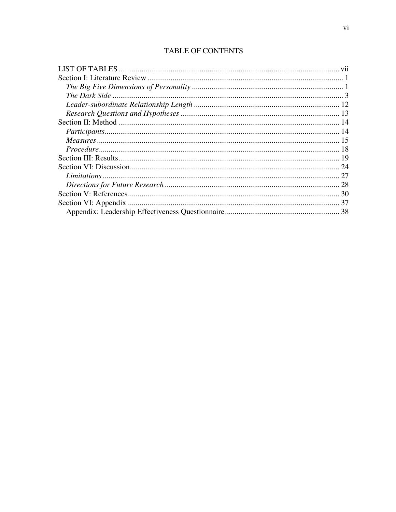# **TABLE OF CONTENTS**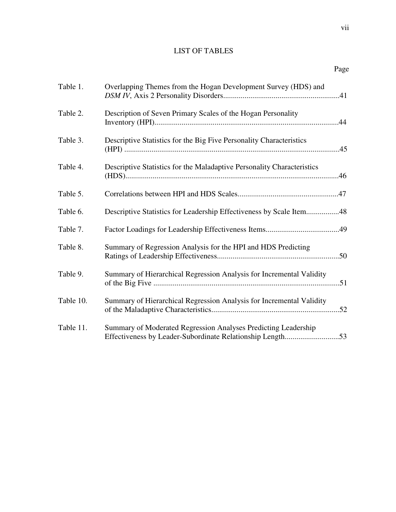# LIST OF TABLES

| ۰. |
|----|
|----|

| Table 1.  | Overlapping Themes from the Hogan Development Survey (HDS) and                                                              |
|-----------|-----------------------------------------------------------------------------------------------------------------------------|
| Table 2.  | Description of Seven Primary Scales of the Hogan Personality                                                                |
| Table 3.  | Descriptive Statistics for the Big Five Personality Characteristics                                                         |
| Table 4.  | Descriptive Statistics for the Maladaptive Personality Characteristics                                                      |
| Table 5.  |                                                                                                                             |
| Table 6.  | Descriptive Statistics for Leadership Effectiveness by Scale Item48                                                         |
| Table 7.  |                                                                                                                             |
| Table 8.  | Summary of Regression Analysis for the HPI and HDS Predicting                                                               |
| Table 9.  | Summary of Hierarchical Regression Analysis for Incremental Validity                                                        |
| Table 10. | Summary of Hierarchical Regression Analysis for Incremental Validity                                                        |
| Table 11. | Summary of Moderated Regression Analyses Predicting Leadership<br>Effectiveness by Leader-Subordinate Relationship Length53 |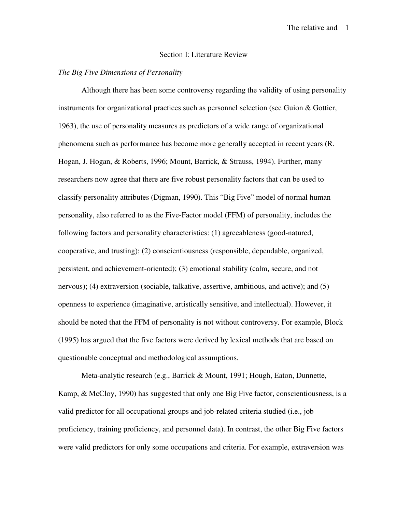#### Section I: Literature Review

#### *The Big Five Dimensions of Personality*

Although there has been some controversy regarding the validity of using personality instruments for organizational practices such as personnel selection (see Guion & Gottier, 1963), the use of personality measures as predictors of a wide range of organizational phenomena such as performance has become more generally accepted in recent years (R. Hogan, J. Hogan, & Roberts, 1996; Mount, Barrick, & Strauss, 1994). Further, many researchers now agree that there are five robust personality factors that can be used to classify personality attributes (Digman, 1990). This "Big Five" model of normal human personality, also referred to as the Five-Factor model (FFM) of personality, includes the following factors and personality characteristics: (1) agreeableness (good-natured, cooperative, and trusting); (2) conscientiousness (responsible, dependable, organized, persistent, and achievement-oriented); (3) emotional stability (calm, secure, and not nervous); (4) extraversion (sociable, talkative, assertive, ambitious, and active); and (5) openness to experience (imaginative, artistically sensitive, and intellectual). However, it should be noted that the FFM of personality is not without controversy. For example, Block (1995) has argued that the five factors were derived by lexical methods that are based on questionable conceptual and methodological assumptions.

Meta-analytic research (e.g., Barrick & Mount, 1991; Hough, Eaton, Dunnette, Kamp, & McCloy, 1990) has suggested that only one Big Five factor, conscientiousness, is a valid predictor for all occupational groups and job-related criteria studied (i.e., job proficiency, training proficiency, and personnel data). In contrast, the other Big Five factors were valid predictors for only some occupations and criteria. For example, extraversion was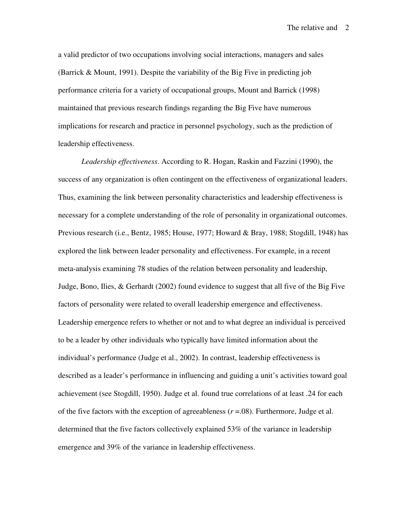a valid predictor of two occupations involving social interactions, managers and sales (Barrick & Mount, 1991). Despite the variability of the Big Five in predicting job performance criteria for a variety of occupational groups, Mount and Barrick (1998) maintained that previous research findings regarding the Big Five have numerous implications for research and practice in personnel psychology, such as the prediction of leadership effectiveness.

*Leadership effectiveness*. According to R. Hogan, Raskin and Fazzini (1990), the success of any organization is often contingent on the effectiveness of organizational leaders. Thus, examining the link between personality characteristics and leadership effectiveness is necessary for a complete understanding of the role of personality in organizational outcomes. Previous research (i.e., Bentz, 1985; House, 1977; Howard & Bray, 1988; Stogdill, 1948) has explored the link between leader personality and effectiveness. For example, in a recent meta-analysis examining 78 studies of the relation between personality and leadership, Judge, Bono, Ilies, & Gerhardt (2002) found evidence to suggest that all five of the Big Five factors of personality were related to overall leadership emergence and effectiveness. Leadership emergence refers to whether or not and to what degree an individual is perceived to be a leader by other individuals who typically have limited information about the individual's performance (Judge et al., 2002). In contrast, leadership effectiveness is described as a leader's performance in influencing and guiding a unit's activities toward goal achievement (see Stogdill, 1950). Judge et al. found true correlations of at least .24 for each of the five factors with the exception of agreeableness  $(r = .08)$ . Furthermore, Judge et al. determined that the five factors collectively explained 53% of the variance in leadership emergence and 39% of the variance in leadership effectiveness.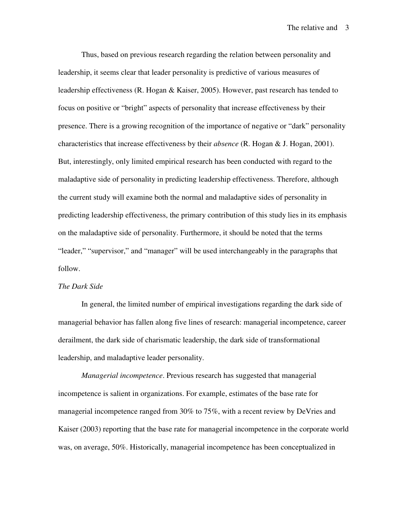Thus, based on previous research regarding the relation between personality and leadership, it seems clear that leader personality is predictive of various measures of leadership effectiveness (R. Hogan & Kaiser, 2005). However, past research has tended to focus on positive or "bright" aspects of personality that increase effectiveness by their presence. There is a growing recognition of the importance of negative or "dark" personality characteristics that increase effectiveness by their *absence* (R. Hogan & J. Hogan, 2001). But, interestingly, only limited empirical research has been conducted with regard to the maladaptive side of personality in predicting leadership effectiveness. Therefore, although the current study will examine both the normal and maladaptive sides of personality in predicting leadership effectiveness, the primary contribution of this study lies in its emphasis on the maladaptive side of personality. Furthermore, it should be noted that the terms "leader," "supervisor," and "manager" will be used interchangeably in the paragraphs that follow.

#### *The Dark Side*

In general, the limited number of empirical investigations regarding the dark side of managerial behavior has fallen along five lines of research: managerial incompetence, career derailment, the dark side of charismatic leadership, the dark side of transformational leadership, and maladaptive leader personality.

*Managerial incompetence*. Previous research has suggested that managerial incompetence is salient in organizations. For example, estimates of the base rate for managerial incompetence ranged from 30% to 75%, with a recent review by DeVries and Kaiser (2003) reporting that the base rate for managerial incompetence in the corporate world was, on average, 50%. Historically, managerial incompetence has been conceptualized in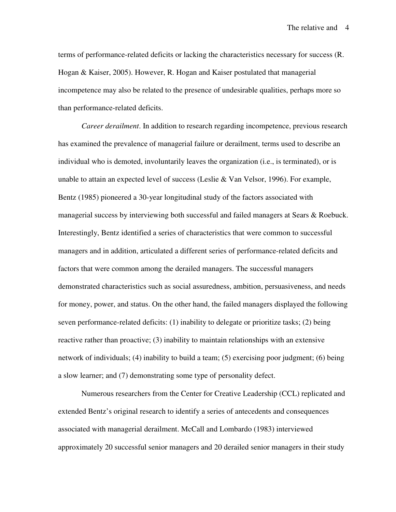terms of performance-related deficits or lacking the characteristics necessary for success (R. Hogan & Kaiser, 2005). However, R. Hogan and Kaiser postulated that managerial incompetence may also be related to the presence of undesirable qualities, perhaps more so than performance-related deficits.

*Career derailment*. In addition to research regarding incompetence, previous research has examined the prevalence of managerial failure or derailment, terms used to describe an individual who is demoted, involuntarily leaves the organization (i.e., is terminated), or is unable to attain an expected level of success (Leslie & Van Velsor, 1996). For example, Bentz (1985) pioneered a 30-year longitudinal study of the factors associated with managerial success by interviewing both successful and failed managers at Sears & Roebuck. Interestingly, Bentz identified a series of characteristics that were common to successful managers and in addition, articulated a different series of performance-related deficits and factors that were common among the derailed managers. The successful managers demonstrated characteristics such as social assuredness, ambition, persuasiveness, and needs for money, power, and status. On the other hand, the failed managers displayed the following seven performance-related deficits: (1) inability to delegate or prioritize tasks; (2) being reactive rather than proactive; (3) inability to maintain relationships with an extensive network of individuals; (4) inability to build a team; (5) exercising poor judgment; (6) being a slow learner; and (7) demonstrating some type of personality defect.

Numerous researchers from the Center for Creative Leadership (CCL) replicated and extended Bentz's original research to identify a series of antecedents and consequences associated with managerial derailment. McCall and Lombardo (1983) interviewed approximately 20 successful senior managers and 20 derailed senior managers in their study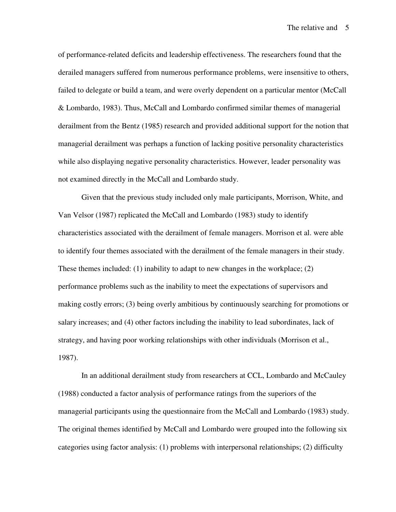of performance-related deficits and leadership effectiveness. The researchers found that the derailed managers suffered from numerous performance problems, were insensitive to others, failed to delegate or build a team, and were overly dependent on a particular mentor (McCall & Lombardo, 1983). Thus, McCall and Lombardo confirmed similar themes of managerial derailment from the Bentz (1985) research and provided additional support for the notion that managerial derailment was perhaps a function of lacking positive personality characteristics while also displaying negative personality characteristics. However, leader personality was not examined directly in the McCall and Lombardo study.

Given that the previous study included only male participants, Morrison, White, and Van Velsor (1987) replicated the McCall and Lombardo (1983) study to identify characteristics associated with the derailment of female managers. Morrison et al. were able to identify four themes associated with the derailment of the female managers in their study. These themes included: (1) inability to adapt to new changes in the workplace; (2) performance problems such as the inability to meet the expectations of supervisors and making costly errors; (3) being overly ambitious by continuously searching for promotions or salary increases; and (4) other factors including the inability to lead subordinates, lack of strategy, and having poor working relationships with other individuals (Morrison et al., 1987).

In an additional derailment study from researchers at CCL, Lombardo and McCauley (1988) conducted a factor analysis of performance ratings from the superiors of the managerial participants using the questionnaire from the McCall and Lombardo (1983) study. The original themes identified by McCall and Lombardo were grouped into the following six categories using factor analysis: (1) problems with interpersonal relationships; (2) difficulty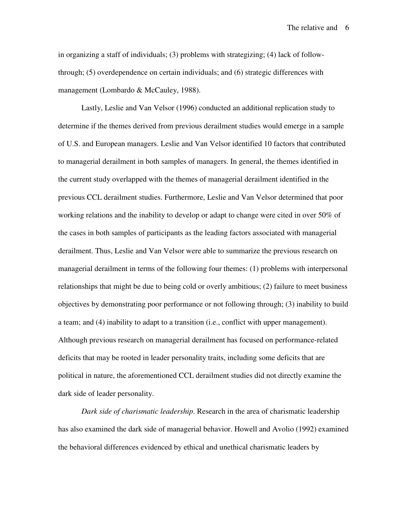in organizing a staff of individuals; (3) problems with strategizing; (4) lack of followthrough; (5) overdependence on certain individuals; and (6) strategic differences with management (Lombardo & McCauley, 1988).

Lastly, Leslie and Van Velsor (1996) conducted an additional replication study to determine if the themes derived from previous derailment studies would emerge in a sample of U.S. and European managers. Leslie and Van Velsor identified 10 factors that contributed to managerial derailment in both samples of managers. In general, the themes identified in the current study overlapped with the themes of managerial derailment identified in the previous CCL derailment studies. Furthermore, Leslie and Van Velsor determined that poor working relations and the inability to develop or adapt to change were cited in over 50% of the cases in both samples of participants as the leading factors associated with managerial derailment. Thus, Leslie and Van Velsor were able to summarize the previous research on managerial derailment in terms of the following four themes: (1) problems with interpersonal relationships that might be due to being cold or overly ambitious; (2) failure to meet business objectives by demonstrating poor performance or not following through; (3) inability to build a team; and (4) inability to adapt to a transition (i.e., conflict with upper management). Although previous research on managerial derailment has focused on performance-related deficits that may be rooted in leader personality traits, including some deficits that are political in nature, the aforementioned CCL derailment studies did not directly examine the dark side of leader personality.

*Dark side of charismatic leadership*. Research in the area of charismatic leadership has also examined the dark side of managerial behavior. Howell and Avolio (1992) examined the behavioral differences evidenced by ethical and unethical charismatic leaders by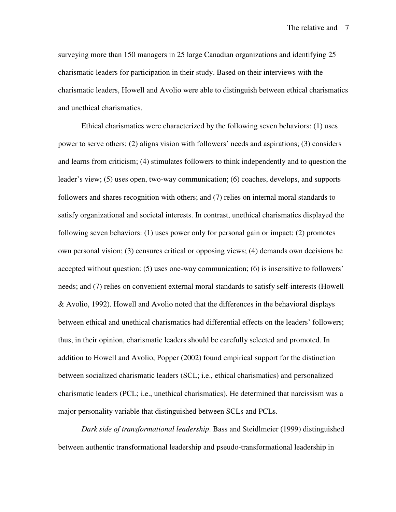surveying more than 150 managers in 25 large Canadian organizations and identifying 25 charismatic leaders for participation in their study. Based on their interviews with the charismatic leaders, Howell and Avolio were able to distinguish between ethical charismatics and unethical charismatics.

Ethical charismatics were characterized by the following seven behaviors: (1) uses power to serve others; (2) aligns vision with followers' needs and aspirations; (3) considers and learns from criticism; (4) stimulates followers to think independently and to question the leader's view; (5) uses open, two-way communication; (6) coaches, develops, and supports followers and shares recognition with others; and (7) relies on internal moral standards to satisfy organizational and societal interests. In contrast, unethical charismatics displayed the following seven behaviors: (1) uses power only for personal gain or impact; (2) promotes own personal vision; (3) censures critical or opposing views; (4) demands own decisions be accepted without question: (5) uses one-way communication; (6) is insensitive to followers' needs; and (7) relies on convenient external moral standards to satisfy self-interests (Howell & Avolio, 1992). Howell and Avolio noted that the differences in the behavioral displays between ethical and unethical charismatics had differential effects on the leaders' followers; thus, in their opinion, charismatic leaders should be carefully selected and promoted. In addition to Howell and Avolio, Popper (2002) found empirical support for the distinction between socialized charismatic leaders (SCL; i.e., ethical charismatics) and personalized charismatic leaders (PCL; i.e., unethical charismatics). He determined that narcissism was a major personality variable that distinguished between SCLs and PCLs.

*Dark side of transformational leadership*. Bass and Steidlmeier (1999) distinguished between authentic transformational leadership and pseudo-transformational leadership in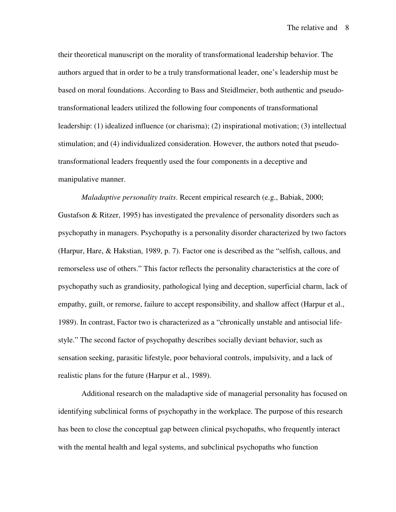their theoretical manuscript on the morality of transformational leadership behavior. The authors argued that in order to be a truly transformational leader, one's leadership must be based on moral foundations. According to Bass and Steidlmeier, both authentic and pseudotransformational leaders utilized the following four components of transformational leadership: (1) idealized influence (or charisma); (2) inspirational motivation; (3) intellectual stimulation; and (4) individualized consideration. However, the authors noted that pseudotransformational leaders frequently used the four components in a deceptive and manipulative manner.

*Maladaptive personality traits*. Recent empirical research (e.g., Babiak, 2000; Gustafson & Ritzer, 1995) has investigated the prevalence of personality disorders such as psychopathy in managers. Psychopathy is a personality disorder characterized by two factors (Harpur, Hare, & Hakstian, 1989, p. 7). Factor one is described as the "selfish, callous, and remorseless use of others." This factor reflects the personality characteristics at the core of psychopathy such as grandiosity, pathological lying and deception, superficial charm, lack of empathy, guilt, or remorse, failure to accept responsibility, and shallow affect (Harpur et al., 1989). In contrast, Factor two is characterized as a "chronically unstable and antisocial lifestyle." The second factor of psychopathy describes socially deviant behavior, such as sensation seeking, parasitic lifestyle, poor behavioral controls, impulsivity, and a lack of realistic plans for the future (Harpur et al., 1989).

Additional research on the maladaptive side of managerial personality has focused on identifying subclinical forms of psychopathy in the workplace. The purpose of this research has been to close the conceptual gap between clinical psychopaths, who frequently interact with the mental health and legal systems, and subclinical psychopaths who function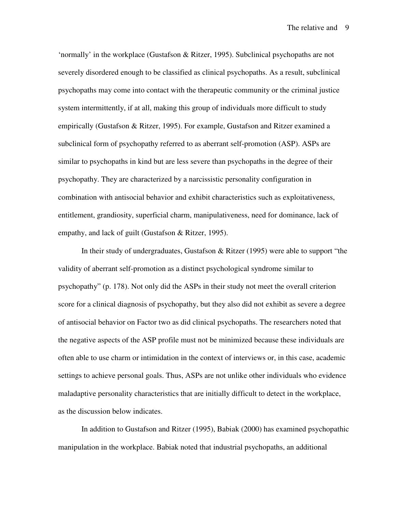'normally' in the workplace (Gustafson & Ritzer, 1995). Subclinical psychopaths are not severely disordered enough to be classified as clinical psychopaths. As a result, subclinical psychopaths may come into contact with the therapeutic community or the criminal justice system intermittently, if at all, making this group of individuals more difficult to study empirically (Gustafson & Ritzer, 1995). For example, Gustafson and Ritzer examined a subclinical form of psychopathy referred to as aberrant self-promotion (ASP). ASPs are similar to psychopaths in kind but are less severe than psychopaths in the degree of their psychopathy. They are characterized by a narcissistic personality configuration in combination with antisocial behavior and exhibit characteristics such as exploitativeness, entitlement, grandiosity, superficial charm, manipulativeness, need for dominance, lack of empathy, and lack of guilt (Gustafson & Ritzer, 1995).

In their study of undergraduates, Gustafson & Ritzer (1995) were able to support "the validity of aberrant self-promotion as a distinct psychological syndrome similar to psychopathy" (p. 178). Not only did the ASPs in their study not meet the overall criterion score for a clinical diagnosis of psychopathy, but they also did not exhibit as severe a degree of antisocial behavior on Factor two as did clinical psychopaths. The researchers noted that the negative aspects of the ASP profile must not be minimized because these individuals are often able to use charm or intimidation in the context of interviews or, in this case, academic settings to achieve personal goals. Thus, ASPs are not unlike other individuals who evidence maladaptive personality characteristics that are initially difficult to detect in the workplace, as the discussion below indicates.

In addition to Gustafson and Ritzer (1995), Babiak (2000) has examined psychopathic manipulation in the workplace. Babiak noted that industrial psychopaths, an additional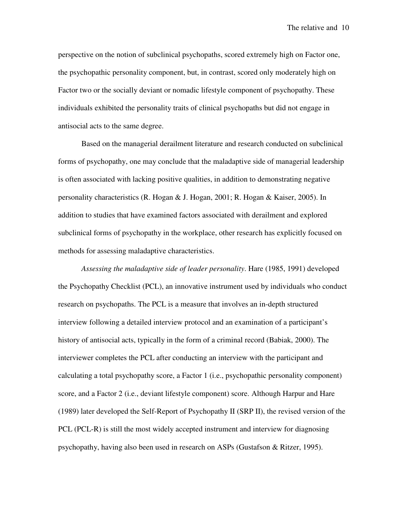perspective on the notion of subclinical psychopaths, scored extremely high on Factor one, the psychopathic personality component, but, in contrast, scored only moderately high on Factor two or the socially deviant or nomadic lifestyle component of psychopathy. These individuals exhibited the personality traits of clinical psychopaths but did not engage in antisocial acts to the same degree.

Based on the managerial derailment literature and research conducted on subclinical forms of psychopathy, one may conclude that the maladaptive side of managerial leadership is often associated with lacking positive qualities, in addition to demonstrating negative personality characteristics (R. Hogan & J. Hogan, 2001; R. Hogan & Kaiser, 2005). In addition to studies that have examined factors associated with derailment and explored subclinical forms of psychopathy in the workplace, other research has explicitly focused on methods for assessing maladaptive characteristics.

*Assessing the maladaptive side of leader personality*. Hare (1985, 1991) developed the Psychopathy Checklist (PCL), an innovative instrument used by individuals who conduct research on psychopaths. The PCL is a measure that involves an in-depth structured interview following a detailed interview protocol and an examination of a participant's history of antisocial acts, typically in the form of a criminal record (Babiak, 2000). The interviewer completes the PCL after conducting an interview with the participant and calculating a total psychopathy score, a Factor 1 (i.e., psychopathic personality component) score, and a Factor 2 (i.e., deviant lifestyle component) score. Although Harpur and Hare (1989) later developed the Self-Report of Psychopathy II (SRP II), the revised version of the PCL (PCL-R) is still the most widely accepted instrument and interview for diagnosing psychopathy, having also been used in research on ASPs (Gustafson & Ritzer, 1995).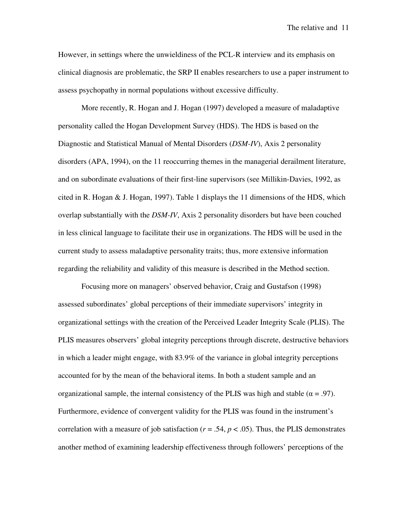However, in settings where the unwieldiness of the PCL-R interview and its emphasis on clinical diagnosis are problematic, the SRP II enables researchers to use a paper instrument to assess psychopathy in normal populations without excessive difficulty.

More recently, R. Hogan and J. Hogan (1997) developed a measure of maladaptive personality called the Hogan Development Survey (HDS). The HDS is based on the Diagnostic and Statistical Manual of Mental Disorders (*DSM-IV*), Axis 2 personality disorders (APA, 1994), on the 11 reoccurring themes in the managerial derailment literature, and on subordinate evaluations of their first-line supervisors (see Millikin-Davies, 1992, as cited in R. Hogan  $\&$  J. Hogan, 1997). Table 1 displays the 11 dimensions of the HDS, which overlap substantially with the *DSM-IV*, Axis 2 personality disorders but have been couched in less clinical language to facilitate their use in organizations. The HDS will be used in the current study to assess maladaptive personality traits; thus, more extensive information regarding the reliability and validity of this measure is described in the Method section.

Focusing more on managers' observed behavior, Craig and Gustafson (1998) assessed subordinates' global perceptions of their immediate supervisors' integrity in organizational settings with the creation of the Perceived Leader Integrity Scale (PLIS). The PLIS measures observers' global integrity perceptions through discrete, destructive behaviors in which a leader might engage, with 83.9% of the variance in global integrity perceptions accounted for by the mean of the behavioral items. In both a student sample and an organizational sample, the internal consistency of the PLIS was high and stable ( $\alpha = .97$ ). Furthermore, evidence of convergent validity for the PLIS was found in the instrument's correlation with a measure of job satisfaction ( $r = .54$ ,  $p < .05$ ). Thus, the PLIS demonstrates another method of examining leadership effectiveness through followers' perceptions of the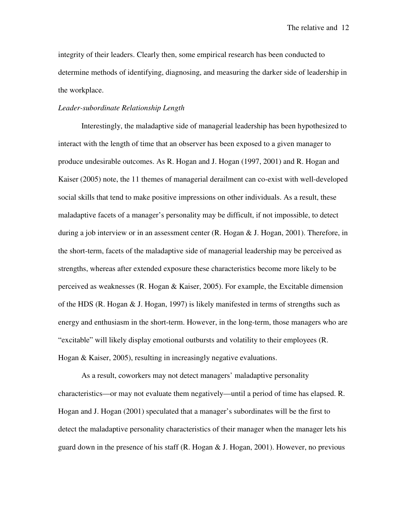integrity of their leaders. Clearly then, some empirical research has been conducted to determine methods of identifying, diagnosing, and measuring the darker side of leadership in the workplace.

#### *Leader-subordinate Relationship Length*

Interestingly, the maladaptive side of managerial leadership has been hypothesized to interact with the length of time that an observer has been exposed to a given manager to produce undesirable outcomes. As R. Hogan and J. Hogan (1997, 2001) and R. Hogan and Kaiser (2005) note, the 11 themes of managerial derailment can co-exist with well-developed social skills that tend to make positive impressions on other individuals. As a result, these maladaptive facets of a manager's personality may be difficult, if not impossible, to detect during a job interview or in an assessment center (R. Hogan & J. Hogan, 2001). Therefore, in the short-term, facets of the maladaptive side of managerial leadership may be perceived as strengths, whereas after extended exposure these characteristics become more likely to be perceived as weaknesses (R. Hogan & Kaiser, 2005). For example, the Excitable dimension of the HDS (R. Hogan  $&$  J. Hogan, 1997) is likely manifested in terms of strengths such as energy and enthusiasm in the short-term. However, in the long-term, those managers who are "excitable" will likely display emotional outbursts and volatility to their employees (R. Hogan & Kaiser, 2005), resulting in increasingly negative evaluations.

As a result, coworkers may not detect managers' maladaptive personality characteristics—or may not evaluate them negatively—until a period of time has elapsed. R. Hogan and J. Hogan (2001) speculated that a manager's subordinates will be the first to detect the maladaptive personality characteristics of their manager when the manager lets his guard down in the presence of his staff  $(R, H^{\text{logan}} \& S)$ . Hogan, 2001). However, no previous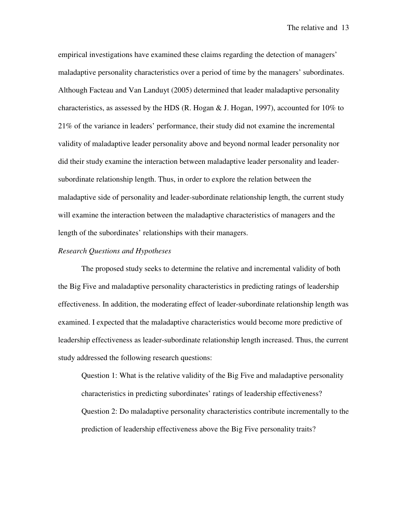empirical investigations have examined these claims regarding the detection of managers' maladaptive personality characteristics over a period of time by the managers' subordinates. Although Facteau and Van Landuyt (2005) determined that leader maladaptive personality characteristics, as assessed by the HDS (R. Hogan  $\&$  J. Hogan, 1997), accounted for 10% to 21% of the variance in leaders' performance, their study did not examine the incremental validity of maladaptive leader personality above and beyond normal leader personality nor did their study examine the interaction between maladaptive leader personality and leadersubordinate relationship length. Thus, in order to explore the relation between the maladaptive side of personality and leader-subordinate relationship length, the current study will examine the interaction between the maladaptive characteristics of managers and the length of the subordinates' relationships with their managers.

#### *Research Questions and Hypotheses*

The proposed study seeks to determine the relative and incremental validity of both the Big Five and maladaptive personality characteristics in predicting ratings of leadership effectiveness. In addition, the moderating effect of leader-subordinate relationship length was examined. I expected that the maladaptive characteristics would become more predictive of leadership effectiveness as leader-subordinate relationship length increased. Thus, the current study addressed the following research questions:

Question 1: What is the relative validity of the Big Five and maladaptive personality characteristics in predicting subordinates' ratings of leadership effectiveness? Question 2: Do maladaptive personality characteristics contribute incrementally to the prediction of leadership effectiveness above the Big Five personality traits?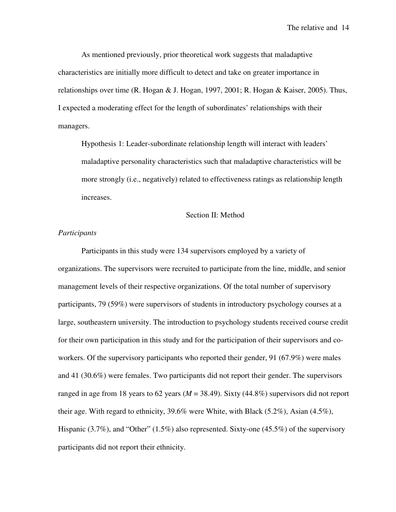As mentioned previously, prior theoretical work suggests that maladaptive characteristics are initially more difficult to detect and take on greater importance in relationships over time (R. Hogan & J. Hogan, 1997, 2001; R. Hogan & Kaiser, 2005). Thus, I expected a moderating effect for the length of subordinates' relationships with their managers.

Hypothesis 1: Leader-subordinate relationship length will interact with leaders' maladaptive personality characteristics such that maladaptive characteristics will be more strongly (i.e., negatively) related to effectiveness ratings as relationship length increases.

#### Section II: Method

#### *Participants*

 Participants in this study were 134 supervisors employed by a variety of organizations. The supervisors were recruited to participate from the line, middle, and senior management levels of their respective organizations. Of the total number of supervisory participants, 79 (59%) were supervisors of students in introductory psychology courses at a large, southeastern university. The introduction to psychology students received course credit for their own participation in this study and for the participation of their supervisors and coworkers. Of the supervisory participants who reported their gender, 91 (67.9%) were males and 41 (30.6%) were females. Two participants did not report their gender. The supervisors ranged in age from 18 years to 62 years  $(M = 38.49)$ . Sixty  $(44.8\%)$  supervisors did not report their age. With regard to ethnicity, 39.6% were White, with Black (5.2%), Asian (4.5%), Hispanic (3.7%), and "Other" (1.5%) also represented. Sixty-one (45.5%) of the supervisory participants did not report their ethnicity.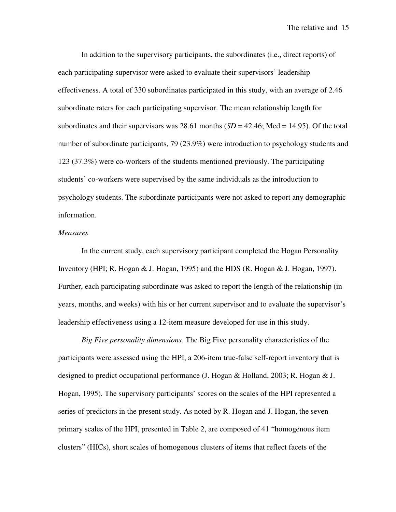In addition to the supervisory participants, the subordinates (i.e., direct reports) of each participating supervisor were asked to evaluate their supervisors' leadership effectiveness. A total of 330 subordinates participated in this study, with an average of 2.46 subordinate raters for each participating supervisor. The mean relationship length for subordinates and their supervisors was 28.61 months  $(SD = 42.46; Med = 14.95)$ . Of the total number of subordinate participants, 79 (23.9%) were introduction to psychology students and 123 (37.3%) were co-workers of the students mentioned previously. The participating students' co-workers were supervised by the same individuals as the introduction to psychology students. The subordinate participants were not asked to report any demographic information.

#### *Measures*

 In the current study, each supervisory participant completed the Hogan Personality Inventory (HPI; R. Hogan & J. Hogan, 1995) and the HDS (R. Hogan & J. Hogan, 1997). Further, each participating subordinate was asked to report the length of the relationship (in years, months, and weeks) with his or her current supervisor and to evaluate the supervisor's leadership effectiveness using a 12-item measure developed for use in this study.

*Big Five personality dimensions*. The Big Five personality characteristics of the participants were assessed using the HPI, a 206-item true-false self-report inventory that is designed to predict occupational performance (J. Hogan & Holland, 2003; R. Hogan & J. Hogan, 1995). The supervisory participants' scores on the scales of the HPI represented a series of predictors in the present study. As noted by R. Hogan and J. Hogan, the seven primary scales of the HPI, presented in Table 2, are composed of 41 "homogenous item clusters" (HICs), short scales of homogenous clusters of items that reflect facets of the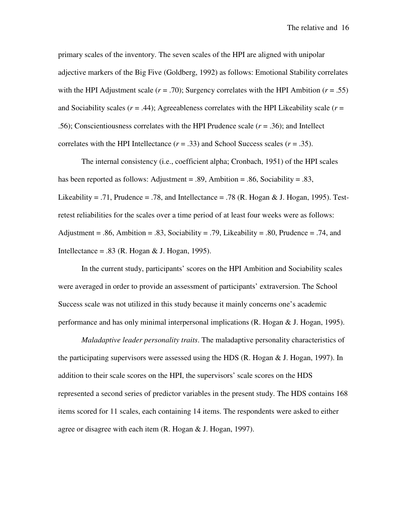primary scales of the inventory. The seven scales of the HPI are aligned with unipolar adjective markers of the Big Five (Goldberg, 1992) as follows: Emotional Stability correlates with the HPI Adjustment scale  $(r = .70)$ ; Surgency correlates with the HPI Ambition  $(r = .55)$ and Sociability scales  $(r = .44)$ ; Agreeableness correlates with the HPI Likeability scale  $(r = .44)$ .56); Conscientiousness correlates with the HPI Prudence scale (*r* = .36); and Intellect correlates with the HPI Intellectance  $(r = .33)$  and School Success scales  $(r = .35)$ .

 The internal consistency (i.e., coefficient alpha; Cronbach, 1951) of the HPI scales has been reported as follows: Adjustment = .89, Ambition = .86, Sociability = .83, Likeability = .71, Prudence = .78, and Intellectance = .78 (R. Hogan & J. Hogan, 1995). Testretest reliabilities for the scales over a time period of at least four weeks were as follows: Adjustment = .86, Ambition = .83, Sociability = .79, Likeability = .80, Prudence = .74, and Intellectance = .83 (R. Hogan & J. Hogan, 1995).

In the current study, participants' scores on the HPI Ambition and Sociability scales were averaged in order to provide an assessment of participants' extraversion. The School Success scale was not utilized in this study because it mainly concerns one's academic performance and has only minimal interpersonal implications (R. Hogan & J. Hogan, 1995).

*Maladaptive leader personality traits*. The maladaptive personality characteristics of the participating supervisors were assessed using the HDS (R. Hogan & J. Hogan, 1997). In addition to their scale scores on the HPI, the supervisors' scale scores on the HDS represented a second series of predictor variables in the present study. The HDS contains 168 items scored for 11 scales, each containing 14 items. The respondents were asked to either agree or disagree with each item (R. Hogan & J. Hogan, 1997).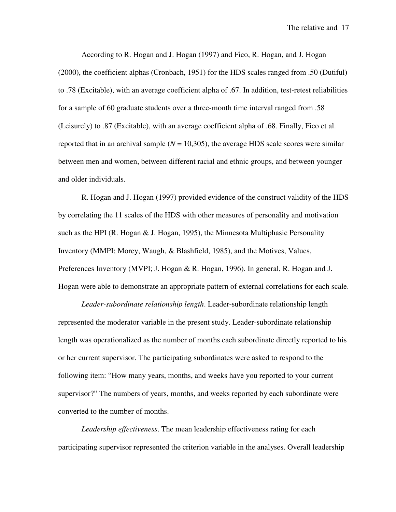According to R. Hogan and J. Hogan (1997) and Fico, R. Hogan, and J. Hogan (2000), the coefficient alphas (Cronbach, 1951) for the HDS scales ranged from .50 (Dutiful) to .78 (Excitable), with an average coefficient alpha of .67. In addition, test-retest reliabilities for a sample of 60 graduate students over a three-month time interval ranged from .58 (Leisurely) to .87 (Excitable), with an average coefficient alpha of .68. Finally, Fico et al. reported that in an archival sample  $(N = 10,305)$ , the average HDS scale scores were similar between men and women, between different racial and ethnic groups, and between younger and older individuals.

 R. Hogan and J. Hogan (1997) provided evidence of the construct validity of the HDS by correlating the 11 scales of the HDS with other measures of personality and motivation such as the HPI (R. Hogan  $&$  J. Hogan, 1995), the Minnesota Multiphasic Personality Inventory (MMPI; Morey, Waugh, & Blashfield, 1985), and the Motives, Values, Preferences Inventory (MVPI; J. Hogan & R. Hogan, 1996). In general, R. Hogan and J. Hogan were able to demonstrate an appropriate pattern of external correlations for each scale.

*Leader-subordinate relationship length*. Leader-subordinate relationship length represented the moderator variable in the present study. Leader-subordinate relationship length was operationalized as the number of months each subordinate directly reported to his or her current supervisor. The participating subordinates were asked to respond to the following item: "How many years, months, and weeks have you reported to your current supervisor?" The numbers of years, months, and weeks reported by each subordinate were converted to the number of months.

*Leadership effectiveness*. The mean leadership effectiveness rating for each participating supervisor represented the criterion variable in the analyses. Overall leadership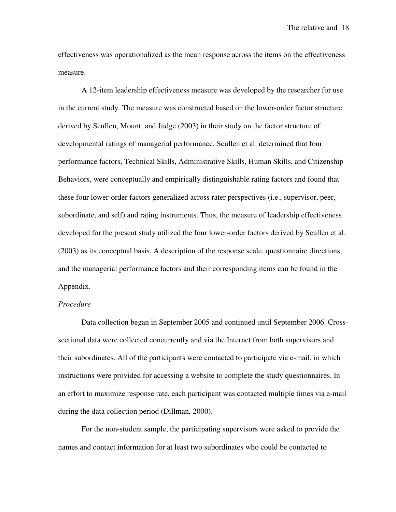effectiveness was operationalized as the mean response across the items on the effectiveness measure.

A 12-item leadership effectiveness measure was developed by the researcher for use in the current study. The measure was constructed based on the lower-order factor structure derived by Scullen, Mount, and Judge (2003) in their study on the factor structure of developmental ratings of managerial performance. Scullen et al. determined that four performance factors, Technical Skills, Administrative Skills, Human Skills, and Citizenship Behaviors, were conceptually and empirically distinguishable rating factors and found that these four lower-order factors generalized across rater perspectives (i.e., supervisor, peer, subordinate, and self) and rating instruments. Thus, the measure of leadership effectiveness developed for the present study utilized the four lower-order factors derived by Scullen et al. (2003) as its conceptual basis. A description of the response scale, questionnaire directions, and the managerial performance factors and their corresponding items can be found in the Appendix.

#### *Procedure*

Data collection began in September 2005 and continued until September 2006. Crosssectional data were collected concurrently and via the Internet from both supervisors and their subordinates. All of the participants were contacted to participate via e-mail, in which instructions were provided for accessing a website to complete the study questionnaires. In an effort to maximize response rate, each participant was contacted multiple times via e-mail during the data collection period (Dillman, 2000).

For the non-student sample, the participating supervisors were asked to provide the names and contact information for at least two subordinates who could be contacted to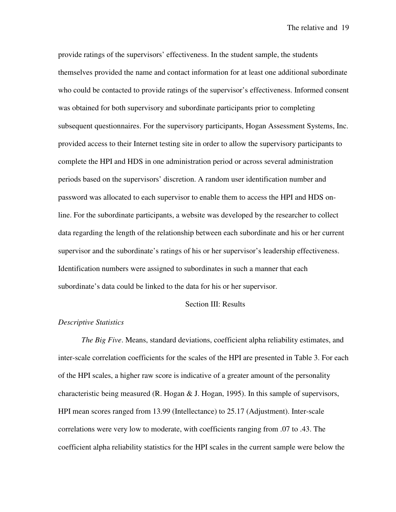provide ratings of the supervisors' effectiveness. In the student sample, the students themselves provided the name and contact information for at least one additional subordinate who could be contacted to provide ratings of the supervisor's effectiveness. Informed consent was obtained for both supervisory and subordinate participants prior to completing subsequent questionnaires. For the supervisory participants, Hogan Assessment Systems, Inc. provided access to their Internet testing site in order to allow the supervisory participants to complete the HPI and HDS in one administration period or across several administration periods based on the supervisors' discretion. A random user identification number and password was allocated to each supervisor to enable them to access the HPI and HDS online. For the subordinate participants, a website was developed by the researcher to collect data regarding the length of the relationship between each subordinate and his or her current supervisor and the subordinate's ratings of his or her supervisor's leadership effectiveness. Identification numbers were assigned to subordinates in such a manner that each subordinate's data could be linked to the data for his or her supervisor.

#### Section III: Results

#### *Descriptive Statistics*

*The Big Five*. Means, standard deviations, coefficient alpha reliability estimates, and inter-scale correlation coefficients for the scales of the HPI are presented in Table 3. For each of the HPI scales, a higher raw score is indicative of a greater amount of the personality characteristic being measured (R. Hogan  $&$  J. Hogan, 1995). In this sample of supervisors, HPI mean scores ranged from 13.99 (Intellectance) to 25.17 (Adjustment). Inter-scale correlations were very low to moderate, with coefficients ranging from .07 to .43. The coefficient alpha reliability statistics for the HPI scales in the current sample were below the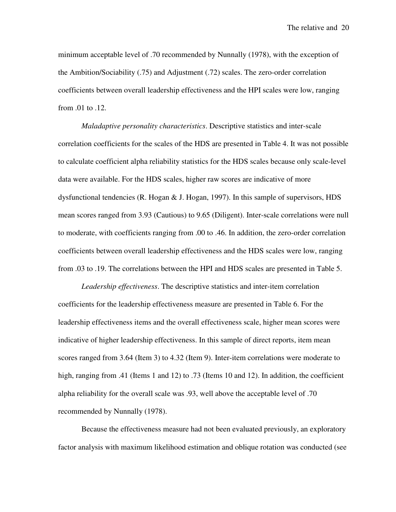minimum acceptable level of .70 recommended by Nunnally (1978), with the exception of the Ambition/Sociability (.75) and Adjustment (.72) scales. The zero-order correlation coefficients between overall leadership effectiveness and the HPI scales were low, ranging from .01 to .12.

*Maladaptive personality characteristics*. Descriptive statistics and inter-scale correlation coefficients for the scales of the HDS are presented in Table 4. It was not possible to calculate coefficient alpha reliability statistics for the HDS scales because only scale-level data were available. For the HDS scales, higher raw scores are indicative of more dysfunctional tendencies (R. Hogan & J. Hogan, 1997). In this sample of supervisors, HDS mean scores ranged from 3.93 (Cautious) to 9.65 (Diligent). Inter-scale correlations were null to moderate, with coefficients ranging from .00 to .46. In addition, the zero-order correlation coefficients between overall leadership effectiveness and the HDS scales were low, ranging from .03 to .19. The correlations between the HPI and HDS scales are presented in Table 5.

*Leadership effectiveness*. The descriptive statistics and inter-item correlation coefficients for the leadership effectiveness measure are presented in Table 6. For the leadership effectiveness items and the overall effectiveness scale, higher mean scores were indicative of higher leadership effectiveness. In this sample of direct reports, item mean scores ranged from 3.64 (Item 3) to 4.32 (Item 9). Inter-item correlations were moderate to high, ranging from .41 (Items 1 and 12) to .73 (Items 10 and 12). In addition, the coefficient alpha reliability for the overall scale was .93, well above the acceptable level of .70 recommended by Nunnally (1978).

Because the effectiveness measure had not been evaluated previously, an exploratory factor analysis with maximum likelihood estimation and oblique rotation was conducted (see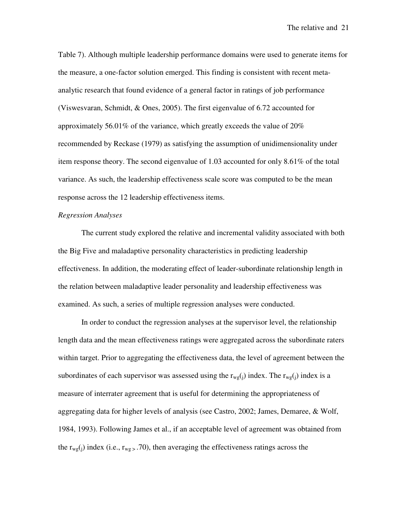Table 7). Although multiple leadership performance domains were used to generate items for the measure, a one-factor solution emerged. This finding is consistent with recent metaanalytic research that found evidence of a general factor in ratings of job performance (Viswesvaran, Schmidt, & Ones, 2005). The first eigenvalue of 6.72 accounted for approximately 56.01% of the variance, which greatly exceeds the value of 20% recommended by Reckase (1979) as satisfying the assumption of unidimensionality under item response theory. The second eigenvalue of 1.03 accounted for only 8.61% of the total variance. As such, the leadership effectiveness scale score was computed to be the mean response across the 12 leadership effectiveness items.

#### *Regression Analyses*

 The current study explored the relative and incremental validity associated with both the Big Five and maladaptive personality characteristics in predicting leadership effectiveness. In addition, the moderating effect of leader-subordinate relationship length in the relation between maladaptive leader personality and leadership effectiveness was examined. As such, a series of multiple regression analyses were conducted.

In order to conduct the regression analyses at the supervisor level, the relationship length data and the mean effectiveness ratings were aggregated across the subordinate raters within target. Prior to aggregating the effectiveness data, the level of agreement between the subordinates of each supervisor was assessed using the  $r_{wg}(i)$  index. The  $r_{wg}(i)$  index is a measure of interrater agreement that is useful for determining the appropriateness of aggregating data for higher levels of analysis (see Castro, 2002; James, Demaree, & Wolf, 1984, 1993). Following James et al., if an acceptable level of agreement was obtained from the  $r_{wg}(i)$  index (i.e.,  $r_{wg}$ , .70), then averaging the effectiveness ratings across the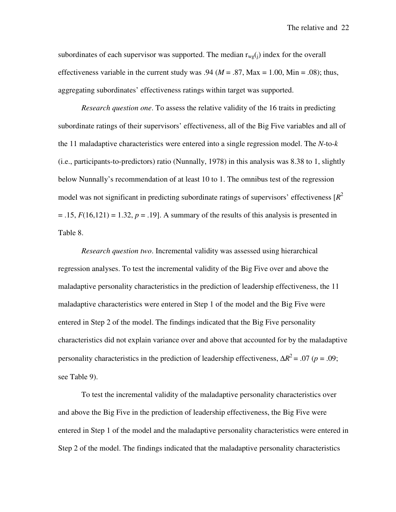subordinates of each supervisor was supported. The median  $r_{wg}(j)$  index for the overall effectiveness variable in the current study was  $.94 \ (M = .87, \text{Max} = 1.00, \text{Min} = .08)$ ; thus, aggregating subordinates' effectiveness ratings within target was supported.

*Research question one*. To assess the relative validity of the 16 traits in predicting subordinate ratings of their supervisors' effectiveness, all of the Big Five variables and all of the 11 maladaptive characteristics were entered into a single regression model. The *N*-to-*k* (i.e., participants-to-predictors) ratio (Nunnally, 1978) in this analysis was 8.38 to 1, slightly below Nunnally's recommendation of at least 10 to 1. The omnibus test of the regression model was not significant in predicting subordinate ratings of supervisors' effectiveness [*R* 2  $= .15, F(16,121) = 1.32, p = .19$ . A summary of the results of this analysis is presented in Table 8.

*Research question two*. Incremental validity was assessed using hierarchical regression analyses. To test the incremental validity of the Big Five over and above the maladaptive personality characteristics in the prediction of leadership effectiveness, the 11 maladaptive characteristics were entered in Step 1 of the model and the Big Five were entered in Step 2 of the model. The findings indicated that the Big Five personality characteristics did not explain variance over and above that accounted for by the maladaptive personality characteristics in the prediction of leadership effectiveness,  $\Delta R^2 = .07$  (*p* = .09; see Table 9).

To test the incremental validity of the maladaptive personality characteristics over and above the Big Five in the prediction of leadership effectiveness, the Big Five were entered in Step 1 of the model and the maladaptive personality characteristics were entered in Step 2 of the model. The findings indicated that the maladaptive personality characteristics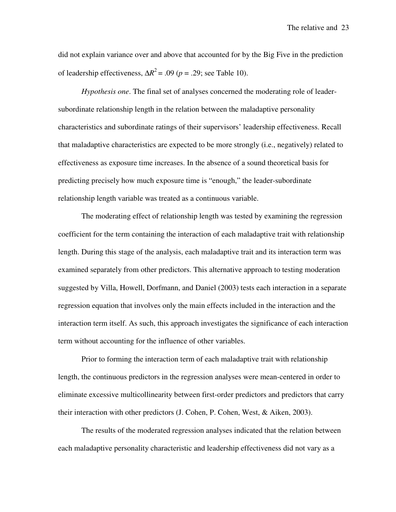did not explain variance over and above that accounted for by the Big Five in the prediction of leadership effectiveness,  $\Delta R^2$  = .09 (*p* = .29; see Table 10).

*Hypothesis one*. The final set of analyses concerned the moderating role of leadersubordinate relationship length in the relation between the maladaptive personality characteristics and subordinate ratings of their supervisors' leadership effectiveness. Recall that maladaptive characteristics are expected to be more strongly (i.e., negatively) related to effectiveness as exposure time increases. In the absence of a sound theoretical basis for predicting precisely how much exposure time is "enough," the leader-subordinate relationship length variable was treated as a continuous variable.

The moderating effect of relationship length was tested by examining the regression coefficient for the term containing the interaction of each maladaptive trait with relationship length. During this stage of the analysis, each maladaptive trait and its interaction term was examined separately from other predictors. This alternative approach to testing moderation suggested by Villa, Howell, Dorfmann, and Daniel (2003) tests each interaction in a separate regression equation that involves only the main effects included in the interaction and the interaction term itself. As such, this approach investigates the significance of each interaction term without accounting for the influence of other variables.

Prior to forming the interaction term of each maladaptive trait with relationship length, the continuous predictors in the regression analyses were mean-centered in order to eliminate excessive multicollinearity between first-order predictors and predictors that carry their interaction with other predictors (J. Cohen, P. Cohen, West, & Aiken, 2003).

The results of the moderated regression analyses indicated that the relation between each maladaptive personality characteristic and leadership effectiveness did not vary as a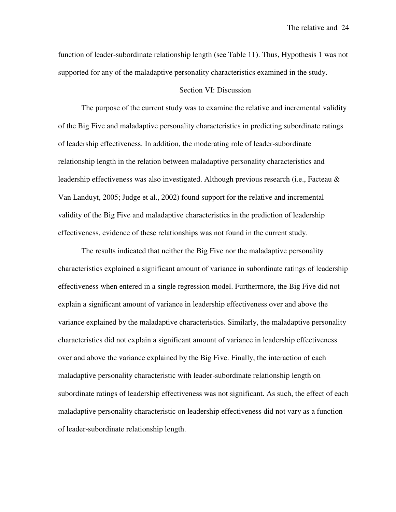function of leader-subordinate relationship length (see Table 11). Thus, Hypothesis 1 was not supported for any of the maladaptive personality characteristics examined in the study.

### Section VI: Discussion

The purpose of the current study was to examine the relative and incremental validity of the Big Five and maladaptive personality characteristics in predicting subordinate ratings of leadership effectiveness. In addition, the moderating role of leader-subordinate relationship length in the relation between maladaptive personality characteristics and leadership effectiveness was also investigated. Although previous research (i.e., Facteau & Van Landuyt, 2005; Judge et al., 2002) found support for the relative and incremental validity of the Big Five and maladaptive characteristics in the prediction of leadership effectiveness, evidence of these relationships was not found in the current study.

The results indicated that neither the Big Five nor the maladaptive personality characteristics explained a significant amount of variance in subordinate ratings of leadership effectiveness when entered in a single regression model. Furthermore, the Big Five did not explain a significant amount of variance in leadership effectiveness over and above the variance explained by the maladaptive characteristics. Similarly, the maladaptive personality characteristics did not explain a significant amount of variance in leadership effectiveness over and above the variance explained by the Big Five. Finally, the interaction of each maladaptive personality characteristic with leader-subordinate relationship length on subordinate ratings of leadership effectiveness was not significant. As such, the effect of each maladaptive personality characteristic on leadership effectiveness did not vary as a function of leader-subordinate relationship length.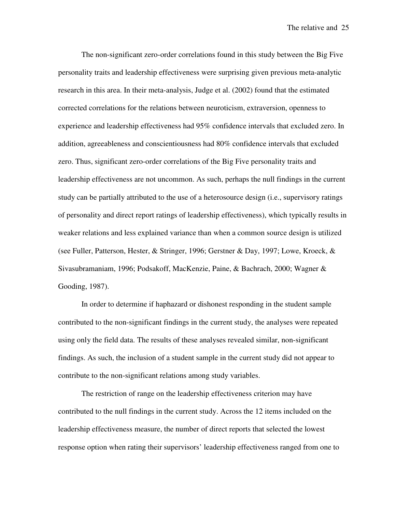The non-significant zero-order correlations found in this study between the Big Five personality traits and leadership effectiveness were surprising given previous meta-analytic research in this area. In their meta-analysis, Judge et al. (2002) found that the estimated corrected correlations for the relations between neuroticism, extraversion, openness to experience and leadership effectiveness had 95% confidence intervals that excluded zero. In addition, agreeableness and conscientiousness had 80% confidence intervals that excluded zero. Thus, significant zero-order correlations of the Big Five personality traits and leadership effectiveness are not uncommon. As such, perhaps the null findings in the current study can be partially attributed to the use of a heterosource design (i.e., supervisory ratings of personality and direct report ratings of leadership effectiveness), which typically results in weaker relations and less explained variance than when a common source design is utilized (see Fuller, Patterson, Hester, & Stringer, 1996; Gerstner & Day, 1997; Lowe, Kroeck, & Sivasubramaniam, 1996; Podsakoff, MacKenzie, Paine, & Bachrach, 2000; Wagner & Gooding, 1987).

In order to determine if haphazard or dishonest responding in the student sample contributed to the non-significant findings in the current study, the analyses were repeated using only the field data. The results of these analyses revealed similar, non-significant findings. As such, the inclusion of a student sample in the current study did not appear to contribute to the non-significant relations among study variables.

The restriction of range on the leadership effectiveness criterion may have contributed to the null findings in the current study. Across the 12 items included on the leadership effectiveness measure, the number of direct reports that selected the lowest response option when rating their supervisors' leadership effectiveness ranged from one to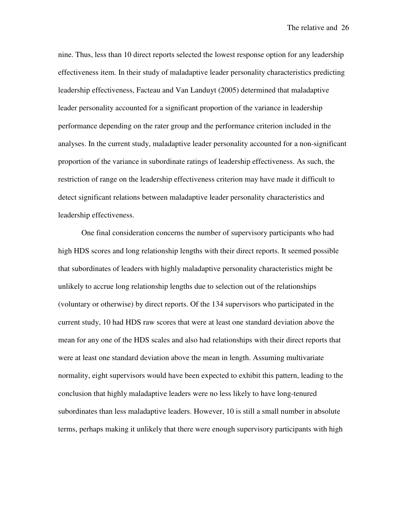nine. Thus, less than 10 direct reports selected the lowest response option for any leadership effectiveness item. In their study of maladaptive leader personality characteristics predicting leadership effectiveness, Facteau and Van Landuyt (2005) determined that maladaptive leader personality accounted for a significant proportion of the variance in leadership performance depending on the rater group and the performance criterion included in the analyses. In the current study, maladaptive leader personality accounted for a non-significant proportion of the variance in subordinate ratings of leadership effectiveness. As such, the restriction of range on the leadership effectiveness criterion may have made it difficult to detect significant relations between maladaptive leader personality characteristics and leadership effectiveness.

One final consideration concerns the number of supervisory participants who had high HDS scores and long relationship lengths with their direct reports. It seemed possible that subordinates of leaders with highly maladaptive personality characteristics might be unlikely to accrue long relationship lengths due to selection out of the relationships (voluntary or otherwise) by direct reports. Of the 134 supervisors who participated in the current study, 10 had HDS raw scores that were at least one standard deviation above the mean for any one of the HDS scales and also had relationships with their direct reports that were at least one standard deviation above the mean in length. Assuming multivariate normality, eight supervisors would have been expected to exhibit this pattern, leading to the conclusion that highly maladaptive leaders were no less likely to have long-tenured subordinates than less maladaptive leaders. However, 10 is still a small number in absolute terms, perhaps making it unlikely that there were enough supervisory participants with high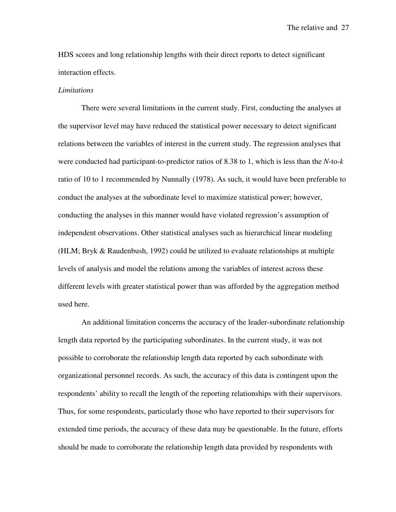HDS scores and long relationship lengths with their direct reports to detect significant interaction effects.

#### *Limitations*

There were several limitations in the current study. First, conducting the analyses at the supervisor level may have reduced the statistical power necessary to detect significant relations between the variables of interest in the current study. The regression analyses that were conducted had participant-to-predictor ratios of 8.38 to 1, which is less than the *N*-to-*k* ratio of 10 to 1 recommended by Nunnally (1978). As such, it would have been preferable to conduct the analyses at the subordinate level to maximize statistical power; however, conducting the analyses in this manner would have violated regression's assumption of independent observations. Other statistical analyses such as hierarchical linear modeling (HLM; Bryk & Raudenbush, 1992) could be utilized to evaluate relationships at multiple levels of analysis and model the relations among the variables of interest across these different levels with greater statistical power than was afforded by the aggregation method used here.

An additional limitation concerns the accuracy of the leader-subordinate relationship length data reported by the participating subordinates. In the current study, it was not possible to corroborate the relationship length data reported by each subordinate with organizational personnel records. As such, the accuracy of this data is contingent upon the respondents' ability to recall the length of the reporting relationships with their supervisors. Thus, for some respondents, particularly those who have reported to their supervisors for extended time periods, the accuracy of these data may be questionable. In the future, efforts should be made to corroborate the relationship length data provided by respondents with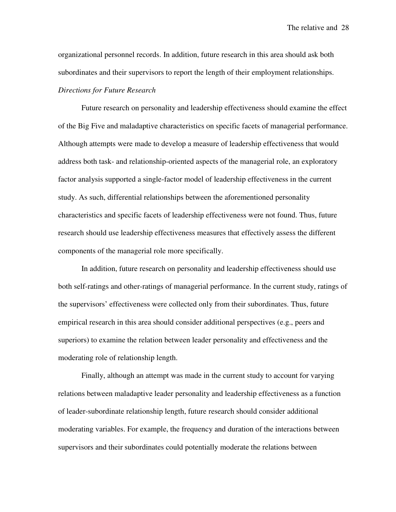organizational personnel records. In addition, future research in this area should ask both subordinates and their supervisors to report the length of their employment relationships. *Directions for Future Research* 

Future research on personality and leadership effectiveness should examine the effect of the Big Five and maladaptive characteristics on specific facets of managerial performance. Although attempts were made to develop a measure of leadership effectiveness that would address both task- and relationship-oriented aspects of the managerial role, an exploratory factor analysis supported a single-factor model of leadership effectiveness in the current study. As such, differential relationships between the aforementioned personality characteristics and specific facets of leadership effectiveness were not found. Thus, future research should use leadership effectiveness measures that effectively assess the different components of the managerial role more specifically.

In addition, future research on personality and leadership effectiveness should use both self-ratings and other-ratings of managerial performance. In the current study, ratings of the supervisors' effectiveness were collected only from their subordinates. Thus, future empirical research in this area should consider additional perspectives (e.g., peers and superiors) to examine the relation between leader personality and effectiveness and the moderating role of relationship length.

Finally, although an attempt was made in the current study to account for varying relations between maladaptive leader personality and leadership effectiveness as a function of leader-subordinate relationship length, future research should consider additional moderating variables. For example, the frequency and duration of the interactions between supervisors and their subordinates could potentially moderate the relations between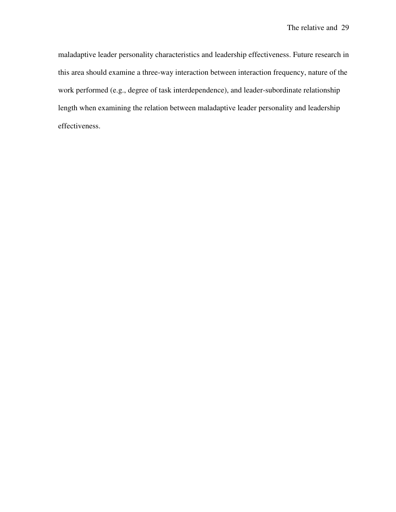maladaptive leader personality characteristics and leadership effectiveness. Future research in this area should examine a three-way interaction between interaction frequency, nature of the work performed (e.g., degree of task interdependence), and leader-subordinate relationship length when examining the relation between maladaptive leader personality and leadership effectiveness.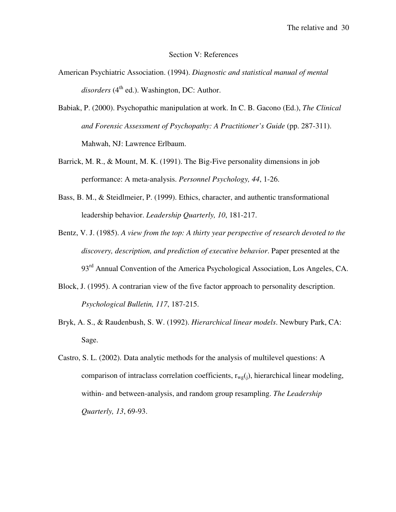### Section V: References

- American Psychiatric Association. (1994). *Diagnostic and statistical manual of mental*  disorders (4<sup>th</sup> ed.). Washington, DC: Author.
- Babiak, P. (2000). Psychopathic manipulation at work. In C. B. Gacono (Ed.), *The Clinical and Forensic Assessment of Psychopathy: A Practitioner's Guide* (pp. 287-311). Mahwah, NJ: Lawrence Erlbaum.
- Barrick, M. R., & Mount, M. K. (1991). The Big-Five personality dimensions in job performance: A meta-analysis. *Personnel Psychology, 44*, 1-26.
- Bass, B. M., & Steidlmeier, P. (1999). Ethics, character, and authentic transformational leadership behavior. *Leadership Quarterly, 10*, 181-217.
- Bentz, V. J. (1985). *A view from the top: A thirty year perspective of research devoted to the discovery, description, and prediction of executive behavior*. Paper presented at the 93<sup>rd</sup> Annual Convention of the America Psychological Association, Los Angeles, CA.
- Block, J. (1995). A contrarian view of the five factor approach to personality description. *Psychological Bulletin, 117*, 187-215.
- Bryk, A. S., & Raudenbush, S. W. (1992). *Hierarchical linear models*. Newbury Park, CA: Sage.
- Castro, S. L. (2002). Data analytic methods for the analysis of multilevel questions: A comparison of intraclass correlation coefficients,  $r_{wg}(i)$ , hierarchical linear modeling, within- and between-analysis, and random group resampling. *The Leadership Quarterly, 13*, 69-93.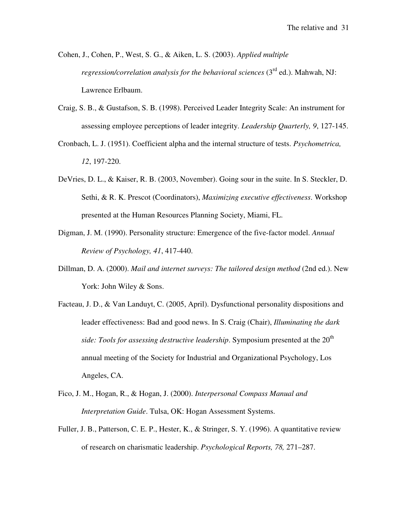Cohen, J., Cohen, P., West, S. G., & Aiken, L. S. (2003). *Applied multiple regression/correlation analysis for the behavioral sciences* (3rd ed.). Mahwah, NJ: Lawrence Erlbaum.

- Craig, S. B., & Gustafson, S. B. (1998). Perceived Leader Integrity Scale: An instrument for assessing employee perceptions of leader integrity. *Leadership Quarterly, 9*, 127-145.
- Cronbach, L. J. (1951). Coefficient alpha and the internal structure of tests. *Psychometrica, 12*, 197-220.
- DeVries, D. L., & Kaiser, R. B. (2003, November). Going sour in the suite. In S. Steckler, D. Sethi, & R. K. Prescot (Coordinators), *Maximizing executive effectiveness*. Workshop presented at the Human Resources Planning Society, Miami, FL.
- Digman, J. M. (1990). Personality structure: Emergence of the five-factor model. *Annual Review of Psychology, 41*, 417-440.
- Dillman, D. A. (2000). *Mail and internet surveys: The tailored design method* (2nd ed.). New York: John Wiley & Sons.
- Facteau, J. D., & Van Landuyt, C. (2005, April). Dysfunctional personality dispositions and leader effectiveness: Bad and good news. In S. Craig (Chair), *Illuminating the dark side: Tools for assessing destructive leadership.* Symposium presented at the 20<sup>th</sup> annual meeting of the Society for Industrial and Organizational Psychology, Los Angeles, CA.
- Fico, J. M., Hogan, R., & Hogan, J. (2000). *Interpersonal Compass Manual and Interpretation Guide*. Tulsa, OK: Hogan Assessment Systems.
- Fuller, J. B., Patterson, C. E. P., Hester, K., & Stringer, S. Y. (1996). A quantitative review of research on charismatic leadership. *Psychological Reports, 78,* 271–287.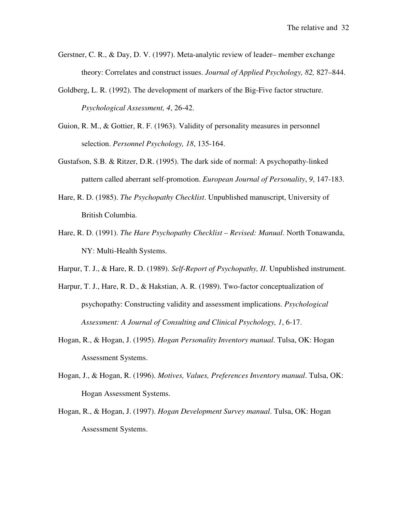- Gerstner, C. R., & Day, D. V. (1997). Meta-analytic review of leader– member exchange theory: Correlates and construct issues. *Journal of Applied Psychology, 82,* 827–844.
- Goldberg, L. R. (1992). The development of markers of the Big-Five factor structure. *Psychological Assessment, 4*, 26-42.
- Guion, R. M., & Gottier, R. F. (1963). Validity of personality measures in personnel selection. *Personnel Psychology, 18*, 135-164.
- Gustafson, S.B. & Ritzer, D.R. (1995). The dark side of normal: A psychopathy-linked pattern called aberrant self-promotion. *European Journal of Personality*, *9*, 147-183.
- Hare, R. D. (1985). *The Psychopathy Checklist*. Unpublished manuscript, University of British Columbia.
- Hare, R. D. (1991). *The Hare Psychopathy Checklist Revised: Manual*. North Tonawanda, NY: Multi-Health Systems.
- Harpur, T. J., & Hare, R. D. (1989). *Self-Report of Psychopathy, II*. Unpublished instrument.
- Harpur, T. J., Hare, R. D., & Hakstian, A. R. (1989). Two-factor conceptualization of psychopathy: Constructing validity and assessment implications. *Psychological Assessment: A Journal of Consulting and Clinical Psychology, 1*, 6-17.
- Hogan, R., & Hogan, J. (1995). *Hogan Personality Inventory manual*. Tulsa, OK: Hogan Assessment Systems.
- Hogan, J., & Hogan, R. (1996). *Motives, Values, Preferences Inventory manual*. Tulsa, OK: Hogan Assessment Systems.
- Hogan, R., & Hogan, J. (1997). *Hogan Development Survey manual*. Tulsa, OK: Hogan Assessment Systems.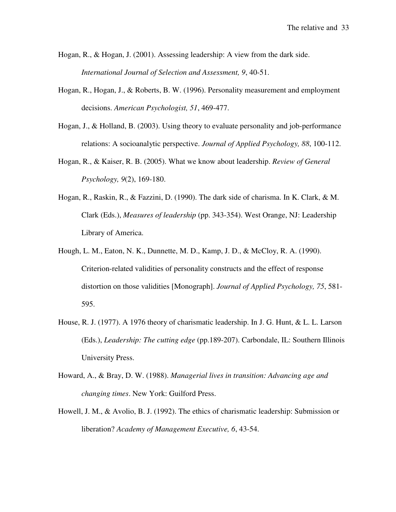- Hogan, R., & Hogan, J. (2001). Assessing leadership: A view from the dark side. *International Journal of Selection and Assessment, 9*, 40-51.
- Hogan, R., Hogan, J., & Roberts, B. W. (1996). Personality measurement and employment decisions. *American Psychologist, 51*, 469-477.
- Hogan, J., & Holland, B. (2003). Using theory to evaluate personality and job-performance relations: A socioanalytic perspective. *Journal of Applied Psychology, 88*, 100-112.
- Hogan, R., & Kaiser, R. B. (2005). What we know about leadership. *Review of General Psychology, 9*(2), 169-180.
- Hogan, R., Raskin, R., & Fazzini, D. (1990). The dark side of charisma. In K. Clark, & M. Clark (Eds.), *Measures of leadership* (pp. 343-354). West Orange, NJ: Leadership Library of America.
- Hough, L. M., Eaton, N. K., Dunnette, M. D., Kamp, J. D., & McCloy, R. A. (1990). Criterion-related validities of personality constructs and the effect of response distortion on those validities [Monograph]. *Journal of Applied Psychology, 75*, 581- 595.
- House, R. J. (1977). A 1976 theory of charismatic leadership. In J. G. Hunt, & L. L. Larson (Eds.), *Leadership: The cutting edge* (pp.189-207). Carbondale, IL: Southern Illinois University Press.
- Howard, A., & Bray, D. W. (1988). *Managerial lives in transition: Advancing age and changing times*. New York: Guilford Press.
- Howell, J. M., & Avolio, B. J. (1992). The ethics of charismatic leadership: Submission or liberation? *Academy of Management Executive, 6*, 43-54.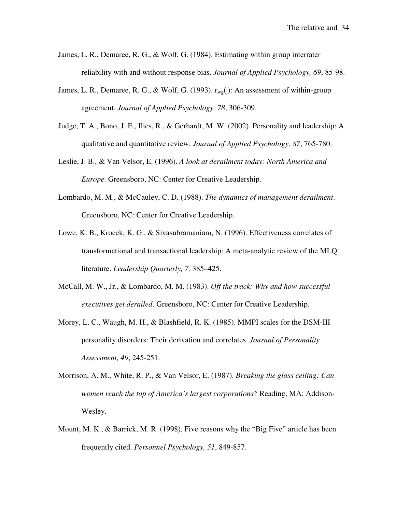- James, L. R., Demaree, R. G., & Wolf, G. (1984). Estimating within group interrater reliability with and without response bias. *Journal of Applied Psychology, 69*, 85-98.
- James, L. R., Demaree, R. G., & Wolf, G. (1993).  $r_{wg}(i)$ : An assessment of within-group agreement. *Journal of Applied Psychology, 78*, 306-309.
- Judge, T. A., Bono, J. E., Ilies, R., & Gerhardt, M. W. (2002). Personality and leadership: A qualitative and quantitative review. *Journal of Applied Psychology, 87*, 765-780.
- Leslie, J. B., & Van Velsor, E. (1996). *A look at derailment today: North America and Europe*. Greensboro, NC: Center for Creative Leadership.
- Lombardo, M. M., & McCauley, C. D. (1988). *The dynamics of management derailment*. Greensboro, NC: Center for Creative Leadership.
- Lowe, K. B., Kroeck, K. G., & Sivasubramaniam, N. (1996). Effectiveness correlates of transformational and transactional leadership: A meta-analytic review of the MLQ literature. *Leadership Quarterly, 7,* 385–425.
- McCall, M. W., Jr., & Lombardo, M. M. (1983). *Off the track: Why and how successful executives get derailed*. Greensboro, NC: Center for Creative Leadership.
- Morey, L. C., Waugh, M. H., & Blashfield, R. K. (1985). MMPI scales for the DSM-III personality disorders: Their derivation and correlates. *Journal of Personality Assessment, 49*, 245-251.
- Morrison, A. M., White, R. P., & Van Velsor, E. (1987). *Breaking the glass ceiling: Can women reach the top of America's largest corporations?* Reading, MA: Addison-Wesley.
- Mount, M. K., & Barrick, M. R. (1998). Five reasons why the "Big Five" article has been frequently cited. *Personnel Psychology, 51*, 849-857.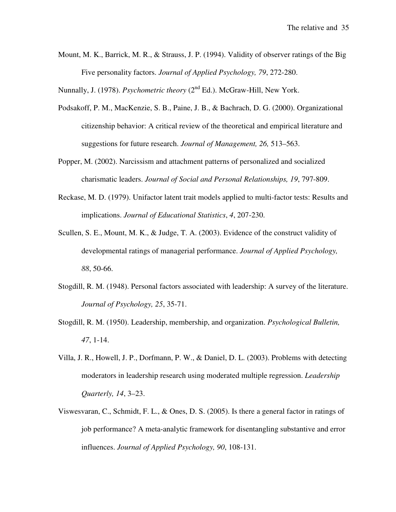Mount, M. K., Barrick, M. R., & Strauss, J. P. (1994). Validity of observer ratings of the Big Five personality factors. *Journal of Applied Psychology, 79*, 272-280.

Nunnally, J. (1978). *Psychometric theory* (2<sup>nd</sup> Ed.). McGraw-Hill, New York.

- Podsakoff, P. M., MacKenzie, S. B., Paine, J. B., & Bachrach, D. G. (2000). Organizational citizenship behavior: A critical review of the theoretical and empirical literature and suggestions for future research. *Journal of Management, 26,* 513–563.
- Popper, M. (2002). Narcissism and attachment patterns of personalized and socialized charismatic leaders. *Journal of Social and Personal Relationships, 19*, 797-809.
- Reckase, M. D. (1979). Unifactor latent trait models applied to multi-factor tests: Results and implications. *Journal of Educational Statistics*, *4*, 207-230.
- Scullen, S. E., Mount, M. K., & Judge, T. A. (2003). Evidence of the construct validity of developmental ratings of managerial performance. *Journal of Applied Psychology, 88*, 50-66.
- Stogdill, R. M. (1948). Personal factors associated with leadership: A survey of the literature. *Journal of Psychology, 25*, 35-71.
- Stogdill, R. M. (1950). Leadership, membership, and organization. *Psychological Bulletin, 47*, 1-14.
- Villa, J. R., Howell, J. P., Dorfmann, P. W., & Daniel, D. L. (2003). Problems with detecting moderators in leadership research using moderated multiple regression. *Leadership Quarterly, 14*, 3–23.
- Viswesvaran, C., Schmidt, F. L., & Ones, D. S. (2005). Is there a general factor in ratings of job performance? A meta-analytic framework for disentangling substantive and error influences. *Journal of Applied Psychology, 90*, 108-131.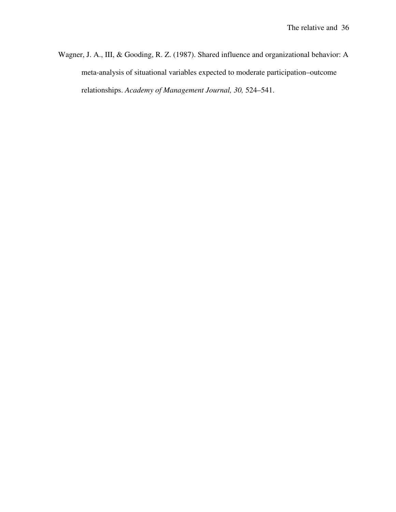Wagner, J. A., III, & Gooding, R. Z. (1987). Shared influence and organizational behavior: A meta-analysis of situational variables expected to moderate participation–outcome relationships. *Academy of Management Journal, 30,* 524–541.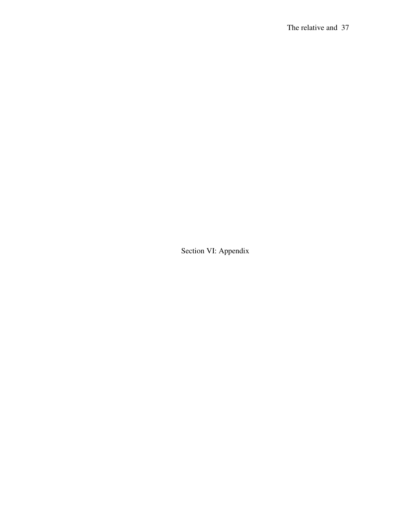Section VI: Appendix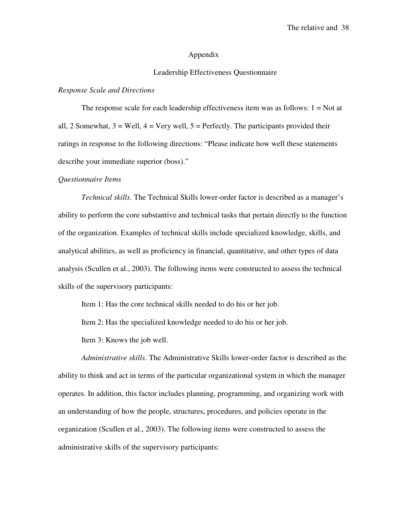#### Appendix

#### Leadership Effectiveness Questionnaire

#### *Response Scale and Directions*

The response scale for each leadership effectiveness item was as follows:  $1 = Not$  at all, 2 Somewhat,  $3 =$  Well,  $4 =$  Very well,  $5 =$  Perfectly. The participants provided their ratings in response to the following directions: "Please indicate how well these statements describe your immediate superior (boss)."

#### *Questionnaire Items*

*Technical skills*. The Technical Skills lower-order factor is described as a manager's ability to perform the core substantive and technical tasks that pertain directly to the function of the organization. Examples of technical skills include specialized knowledge, skills, and analytical abilities, as well as proficiency in financial, quantitative, and other types of data analysis (Scullen et al., 2003). The following items were constructed to assess the technical skills of the supervisory participants:

Item 1: Has the core technical skills needed to do his or her job.

Item 2: Has the specialized knowledge needed to do his or her job.

Item 3: Knows the job well.

*Administrative skills*. The Administrative Skills lower-order factor is described as the ability to think and act in terms of the particular organizational system in which the manager operates. In addition, this factor includes planning, programming, and organizing work with an understanding of how the people, structures, procedures, and policies operate in the organization (Scullen et al., 2003). The following items were constructed to assess the administrative skills of the supervisory participants: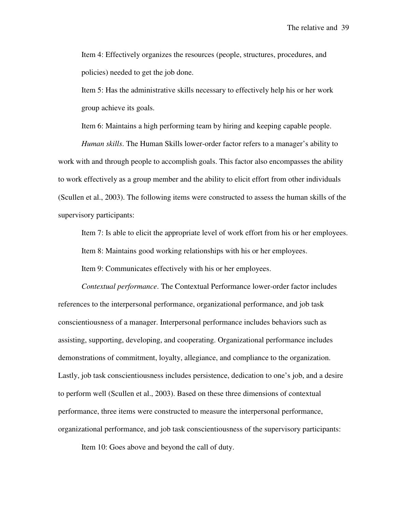Item 4: Effectively organizes the resources (people, structures, procedures, and policies) needed to get the job done.

Item 5: Has the administrative skills necessary to effectively help his or her work group achieve its goals.

Item 6: Maintains a high performing team by hiring and keeping capable people.

*Human skills*. The Human Skills lower-order factor refers to a manager's ability to work with and through people to accomplish goals. This factor also encompasses the ability to work effectively as a group member and the ability to elicit effort from other individuals (Scullen et al., 2003). The following items were constructed to assess the human skills of the supervisory participants:

Item 7: Is able to elicit the appropriate level of work effort from his or her employees. Item 8: Maintains good working relationships with his or her employees.

Item 9: Communicates effectively with his or her employees.

*Contextual performance*. The Contextual Performance lower-order factor includes references to the interpersonal performance, organizational performance, and job task conscientiousness of a manager. Interpersonal performance includes behaviors such as assisting, supporting, developing, and cooperating. Organizational performance includes demonstrations of commitment, loyalty, allegiance, and compliance to the organization. Lastly, job task conscientiousness includes persistence, dedication to one's job, and a desire to perform well (Scullen et al., 2003). Based on these three dimensions of contextual performance, three items were constructed to measure the interpersonal performance, organizational performance, and job task conscientiousness of the supervisory participants:

Item 10: Goes above and beyond the call of duty.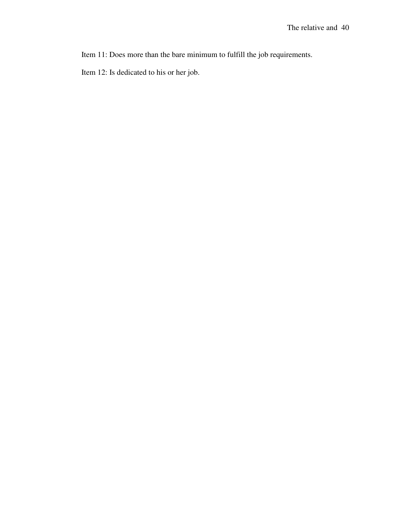Item 11: Does more than the bare minimum to fulfill the job requirements.

Item 12: Is dedicated to his or her job.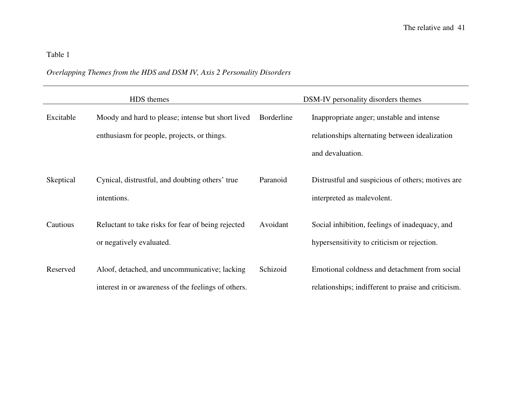# *Overlapping Themes from the HDS and DSM IV, Axis 2 Personality Disorders*

|           | HDS themes                                                                                           |                   | DSM-IV personality disorders themes                                                                             |
|-----------|------------------------------------------------------------------------------------------------------|-------------------|-----------------------------------------------------------------------------------------------------------------|
| Excitable | Moody and hard to please; intense but short lived<br>enthusiasm for people, projects, or things.     | <b>Borderline</b> | Inappropriate anger; unstable and intense<br>relationships alternating between idealization<br>and devaluation. |
| Skeptical | Cynical, distrustful, and doubting others' true<br>intentions.                                       | Paranoid          | Distrustful and suspicious of others; motives are<br>interpreted as malevolent.                                 |
| Cautious  | Reluctant to take risks for fear of being rejected<br>or negatively evaluated.                       | Avoidant          | Social inhibition, feelings of inadequacy, and<br>hypersensitivity to criticism or rejection.                   |
| Reserved  | Aloof, detached, and uncommunicative; lacking<br>interest in or awareness of the feelings of others. | Schizoid          | Emotional coldness and detachment from social<br>relationships; indifferent to praise and criticism.            |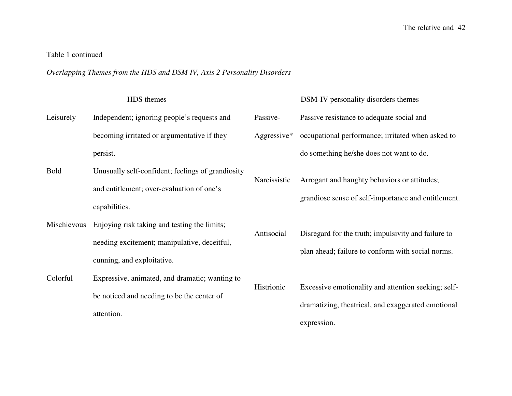# Table 1 continued

### *Overlapping Themes from the HDS and DSM IV, Axis 2 Personality Disorders*

|             | HDS themes                                                                                                                 |                | DSM-IV personality disorders themes                                                                                      |
|-------------|----------------------------------------------------------------------------------------------------------------------------|----------------|--------------------------------------------------------------------------------------------------------------------------|
| Leisurely   | Independent; ignoring people's requests and                                                                                | Passive-       | Passive resistance to adequate social and                                                                                |
|             | becoming irritated or argumentative if they                                                                                | Aggressive $*$ | occupational performance; irritated when asked to                                                                        |
|             | persist.                                                                                                                   |                | do something he/she does not want to do.                                                                                 |
| <b>Bold</b> | Unusually self-confident; feelings of grandiosity<br>and entitlement; over-evaluation of one's<br>capabilities.            | Narcissistic   | Arrogant and haughty behaviors or attitudes;<br>grandiose sense of self-importance and entitlement.                      |
| Mischievous | Enjoying risk taking and testing the limits;<br>needing excitement; manipulative, deceitful,<br>cunning, and exploitative. | Antisocial     | Disregard for the truth; impulsivity and failure to<br>plan ahead; failure to conform with social norms.                 |
| Colorful    | Expressive, animated, and dramatic; wanting to<br>be noticed and needing to be the center of<br>attention.                 | Histrionic     | Excessive emotionality and attention seeking; self-<br>dramatizing, theatrical, and exaggerated emotional<br>expression. |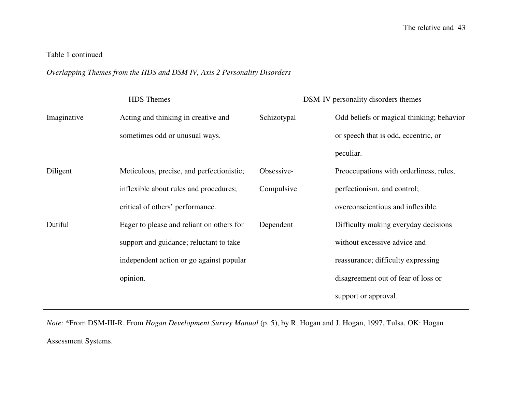# Table 1 continued

### *Overlapping Themes from the HDS and DSM IV, Axis 2 Personality Disorders*

|             | <b>HDS</b> Themes                         |             | DSM-IV personality disorders themes       |
|-------------|-------------------------------------------|-------------|-------------------------------------------|
| Imaginative | Acting and thinking in creative and       | Schizotypal | Odd beliefs or magical thinking; behavior |
|             | sometimes odd or unusual ways.            |             | or speech that is odd, eccentric, or      |
|             |                                           |             | peculiar.                                 |
| Diligent    | Meticulous, precise, and perfectionistic; | Obsessive-  | Preoccupations with orderliness, rules,   |
|             | inflexible about rules and procedures;    | Compulsive  | perfectionism, and control;               |
|             | critical of others' performance.          |             | overconscientious and inflexible.         |
| Dutiful     | Eager to please and reliant on others for | Dependent   | Difficulty making everyday decisions      |
|             | support and guidance; reluctant to take   |             | without excessive advice and              |
|             | independent action or go against popular  |             | reassurance; difficulty expressing        |
|             | opinion.                                  |             | disagreement out of fear of loss or       |
|             |                                           |             | support or approval.                      |

*Note*: \*From DSM-III-R. From *Hogan Development Survey Manual* (p. 5), by R. Hogan and J. Hogan, 1997, Tulsa, OK: Hogan Assessment Systems.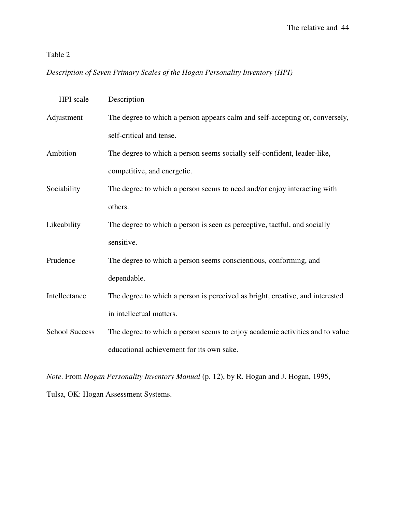# *Description of Seven Primary Scales of the Hogan Personality Inventory (HPI)*

| <b>HPI</b> scale      | Description                                                                   |
|-----------------------|-------------------------------------------------------------------------------|
| Adjustment            | The degree to which a person appears calm and self-accepting or, conversely,  |
|                       | self-critical and tense.                                                      |
| Ambition              | The degree to which a person seems socially self-confident, leader-like,      |
|                       | competitive, and energetic.                                                   |
| Sociability           | The degree to which a person seems to need and/or enjoy interacting with      |
|                       | others.                                                                       |
| Likeability           | The degree to which a person is seen as perceptive, tactful, and socially     |
|                       | sensitive.                                                                    |
| Prudence              | The degree to which a person seems conscientious, conforming, and             |
|                       | dependable.                                                                   |
| Intellectance         | The degree to which a person is perceived as bright, creative, and interested |
|                       | in intellectual matters.                                                      |
| <b>School Success</b> | The degree to which a person seems to enjoy academic activities and to value  |
|                       | educational achievement for its own sake.                                     |

*Note*. From *Hogan Personality Inventory Manual* (p. 12), by R. Hogan and J. Hogan, 1995,

Tulsa, OK: Hogan Assessment Systems.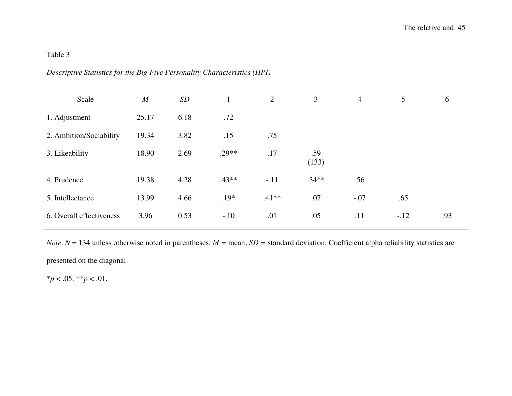| Scale                    | $\boldsymbol{M}$ | SD   | $\mathbf{1}$ | 2       | $\mathfrak{Z}$ | $\overline{4}$ | $5\overline{)}$ | 6   |
|--------------------------|------------------|------|--------------|---------|----------------|----------------|-----------------|-----|
| 1. Adjustment            | 25.17            | 6.18 | .72          |         |                |                |                 |     |
| 2. Ambition/Sociability  | 19.34            | 3.82 | .15          | .75     |                |                |                 |     |
| 3. Likeability           | 18.90            | 2.69 | $.29**$      | .17     | .59<br>(133)   |                |                 |     |
| 4. Prudence              | 19.38            | 4.28 | $.43**$      | $-.11$  | $.34**$        | .56            |                 |     |
| 5. Intellectance         | 13.99            | 4.66 | $.19*$       | $.41**$ | .07            | $-.07$         | .65             |     |
| 6. Overall effectiveness | 3.96             | 0.53 | $-.10$       | .01     | .05            | .11            | $-.12$          | .93 |
|                          |                  |      |              |         |                |                |                 |     |

*Descriptive Statistics for the Big Five Personality Characteristics (HPI)* 

*Note*.  $N = 134$  unless otherwise noted in parentheses.  $M =$  mean;  $SD =$  standard deviation. Coefficient alpha reliability statistics are presented on the diagonal.

\**p* < .05. \*\**p* < .01.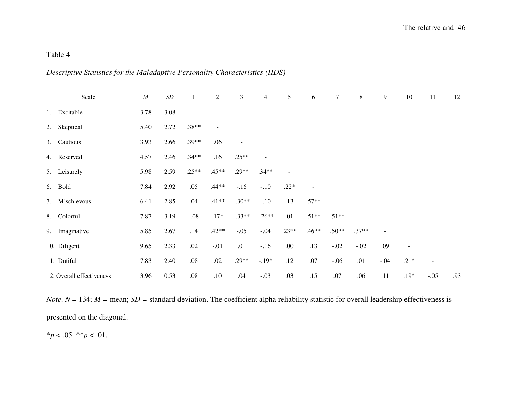| Descriptive Statistics for the Maladaptive Personality Characteristics (HDS) |  |  |  |  |
|------------------------------------------------------------------------------|--|--|--|--|
|------------------------------------------------------------------------------|--|--|--|--|

|    | Scale                     | $\cal M$ | $\boldsymbol{SD}$ |                          | $\overline{2}$ | $\mathfrak{Z}$ | 4              | 5       | 6       | 7              | 8              | 9              | 10                       | 11     | 12  |
|----|---------------------------|----------|-------------------|--------------------------|----------------|----------------|----------------|---------|---------|----------------|----------------|----------------|--------------------------|--------|-----|
| 1. | Excitable                 | 3.78     | 3.08              | $\overline{\phantom{a}}$ |                |                |                |         |         |                |                |                |                          |        |     |
| 2. | Skeptical                 | 5.40     | 2.72              | $.38**$                  |                |                |                |         |         |                |                |                |                          |        |     |
|    | 3. Cautious               | 3.93     | 2.66              | $.39**$                  | .06            | $\overline{a}$ |                |         |         |                |                |                |                          |        |     |
|    | 4. Reserved               | 4.57     | 2.46              | $.34**$                  | .16            | $.25**$        | $\overline{a}$ |         |         |                |                |                |                          |        |     |
|    | 5. Leisurely              | 5.98     | 2.59              | $.25**$                  | $.45**$        | $.29**$        | $.34**$        |         |         |                |                |                |                          |        |     |
|    | 6. Bold                   | 7.84     | 2.92              | .05                      | $.44**$        | $-.16$         | $-.10$         | $.22*$  | $\sim$  |                |                |                |                          |        |     |
| 7. | Mischievous               | 6.41     | 2.85              | .04                      | $.41**$        | $-.30**$       | $-.10$         | .13     | $.57**$ | $\blacksquare$ |                |                |                          |        |     |
|    | 8. Colorful               | 7.87     | 3.19              | $-.08$                   | $.17*$         | $-.33**$       | $-.26**$       | .01     | $.51**$ | $.51**$        | $\blacksquare$ |                |                          |        |     |
| 9. | Imaginative               | 5.85     | 2.67              | .14                      | $.42**$        | $-.05$         | $-.04$         | $.23**$ | $.46**$ | $.50**$        | $.37**$        | $\blacksquare$ |                          |        |     |
|    | 10. Diligent              | 9.65     | 2.33              | $.02\,$                  | $-.01$         | .01            | $-.16$         | .00.    | .13     | $-.02$         | $-.02$         | .09            | $\overline{\phantom{a}}$ |        |     |
|    | 11. Dutiful               | 7.83     | 2.40              | $.08\,$                  | .02            | $.29**$        | $-.19*$        | .12     | .07     | $-.06$         | .01            | $-.04$         | $.21*$                   |        |     |
|    | 12. Overall effectiveness | 3.96     | 0.53              | .08                      | .10            | .04            | $-.03$         | .03     | .15     | .07            | .06            | .11            | $.19*$                   | $-.05$ | .93 |

*Note*. *N* = 134; *M =* mean; *SD =* standard deviation. The coefficient alpha reliability statistic for overall leadership effectiveness is presented on the diagonal.

\**p* < .05. \*\**p* < .01.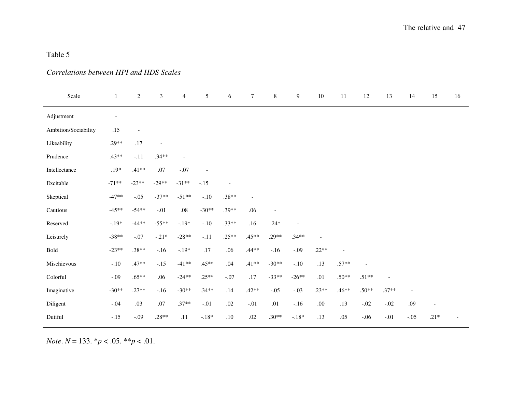# *Correlations between HPI and HDS Scales*

| Scale                | 1                        | $\boldsymbol{2}$         | 3                        | $\overline{4}$           | 5                        | $\sqrt{6}$               | $\boldsymbol{7}$         | $\,8\,$                  | $\overline{9}$ | $10\,$  | 11                       | $12\,$  | 13                       | 14                       | 15     | 16 |
|----------------------|--------------------------|--------------------------|--------------------------|--------------------------|--------------------------|--------------------------|--------------------------|--------------------------|----------------|---------|--------------------------|---------|--------------------------|--------------------------|--------|----|
| Adjustment           | $\overline{\phantom{a}}$ |                          |                          |                          |                          |                          |                          |                          |                |         |                          |         |                          |                          |        |    |
| Ambition/Sociability | .15                      | $\overline{\phantom{a}}$ |                          |                          |                          |                          |                          |                          |                |         |                          |         |                          |                          |        |    |
| Likeability          | .29**                    | $.17$                    | $\overline{\phantom{a}}$ |                          |                          |                          |                          |                          |                |         |                          |         |                          |                          |        |    |
| Prudence             | $.43**$                  | $-.11$                   | $.34**$                  | $\overline{\phantom{a}}$ |                          |                          |                          |                          |                |         |                          |         |                          |                          |        |    |
| Intellectance        | $.19*$                   | $.41**$                  | $.07$                    | $-.07$                   | $\overline{\phantom{a}}$ |                          |                          |                          |                |         |                          |         |                          |                          |        |    |
| Excitable            | $-71**$                  | $-23**$                  | $-29**$                  | $-31**$                  | $-.15$                   | $\overline{\phantom{a}}$ |                          |                          |                |         |                          |         |                          |                          |        |    |
| Skeptical            | $-47**$                  | $-.05$                   | $-37**$                  | $-51**$                  | $-.10$                   | $.38**$                  | $\overline{\phantom{a}}$ |                          |                |         |                          |         |                          |                          |        |    |
| Cautious             | $-45**$                  | $-54**$                  | $-.01$                   | $.08\,$                  | $-30**$                  | $.39**$                  | .06                      | $\overline{\phantom{a}}$ |                |         |                          |         |                          |                          |        |    |
| Reserved             | $-.19*$                  | $-44**$                  | $-55**$                  | $-.19*$                  | $-.10$                   | $.33**$                  | .16                      | $.24*$                   | $\overline{a}$ |         |                          |         |                          |                          |        |    |
| Leisurely            | $-38**$                  | $-.07$                   | $-.21*$                  | $-28**$                  | $-.11$                   | $.25**$                  | $.45**$                  | $.29**$                  | $.34**$        |         |                          |         |                          |                          |        |    |
| Bold                 | $-23**$                  | $.38**$                  | $-.16$                   | $-.19*$                  | $.17$                    | .06                      | $.44**$                  | $-.16$                   | $-.09$         | $.22**$ | $\overline{\phantom{a}}$ |         |                          |                          |        |    |
| Mischievous          | $-.10$                   | $.47**$                  | $-.15$                   | $-41**$                  | $.45**$                  | $.04$                    | $.41**$                  | $-30**$                  | $-.10$         | .13     | $.57**$                  | $\sim$  |                          |                          |        |    |
| Colorful             | $-.09$                   | $.65**$                  | .06                      | $-24**$                  | $.25**$                  | $-.07$                   | $.17\,$                  | $-33**$                  | $-26**$        | .01     | $.50**$                  | $.51**$ | $\overline{\phantom{a}}$ |                          |        |    |
| Imaginative          | $-30**$                  | $.27**$                  | $-.16$                   | $-30**$                  | $.34**$                  | .14                      | $.42**$                  | $-.05$                   | $-.03$         | $.23**$ | .46**                    | $.50**$ | $.37**$                  | $\overline{\phantom{a}}$ |        |    |
| Diligent             | $-.04$                   | .03                      | $.07\,$                  | $.37**$                  | $-.01$                   | $.02\,$                  | $-.01$                   | .01                      | $-.16$         | .00.    | .13                      | $-.02$  | $-.02$                   | .09                      |        |    |
| Dutiful              | $-.15$                   | $-.09$                   | $.28**$                  | .11                      | $-.18*$                  | $.10\,$                  | $.02\,$                  | $.30**$                  | $-.18*$        | .13     | .05                      | $-.06$  | $-.01$                   | $-.05$                   | $.21*$ |    |

*Note*.  $N = 133$ .  $^{*}p < .05$ .  $^{**}p < .01$ .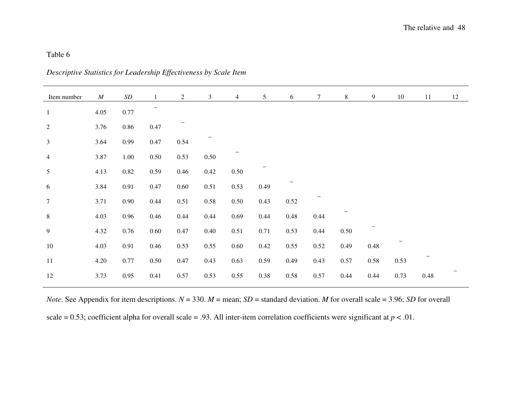|  | Descriptive Statistics for Leadership Effectiveness by Scale Item |  |  |  |
|--|-------------------------------------------------------------------|--|--|--|
|--|-------------------------------------------------------------------|--|--|--|

| Item number      | $\cal M$ | SD       |          | $\overline{2}$ | 3        | $\overline{4}$ | 5        | 6        | $\tau$   | 8    | 9    | 10   | 11   | 12 |
|------------------|----------|----------|----------|----------------|----------|----------------|----------|----------|----------|------|------|------|------|----|
| $\mathbf{1}$     | 4.05     | $0.77\,$ |          |                |          |                |          |          |          |      |      |      |      |    |
| $\sqrt{2}$       | 3.76     | $0.86\,$ | $0.47\,$ |                |          |                |          |          |          |      |      |      |      |    |
| $\mathfrak{Z}$   | 3.64     | 0.99     | 0.47     | 0.54           |          |                |          |          |          |      |      |      |      |    |
| $\overline{4}$   | 3.87     | 1.00     | $0.50\,$ | 0.53           | $0.50\,$ |                |          |          |          |      |      |      |      |    |
| 5                | 4.13     | $0.82\,$ | 0.59     | 0.46           | 0.42     | 0.50           |          |          |          |      |      |      |      |    |
| 6                | 3.84     | 0.91     | 0.47     | 0.60           | 0.51     | 0.53           | 0.49     |          |          |      |      |      |      |    |
| $\boldsymbol{7}$ | 3.71     | $0.90\,$ | 0.44     | 0.51           | 0.58     | 0.50           | 0.43     | $0.52\,$ |          |      |      |      |      |    |
| $8\,$            | 4.03     | 0.96     | 0.46     | 0.44           | 0.44     | 0.69           | 0.44     | $0.48\,$ | 0.44     |      |      |      |      |    |
| 9                | 4.32     | 0.76     | $0.60\,$ | 0.47           | 0.40     | 0.51           | 0.71     | 0.53     | 0.44     | 0.50 |      |      |      |    |
| $10\,$           | 4.03     | 0.91     | 0.46     | 0.53           | 0.55     | $0.60\,$       | $0.42\,$ | 0.55     | $0.52\,$ | 0.49 | 0.48 |      |      |    |
| 11               | 4.20     | 0.77     | $0.50\,$ | 0.47           | 0.43     | 0.63           | 0.59     | 0.49     | 0.43     | 0.57 | 0.58 | 0.53 |      |    |
| $12\,$           | 3.73     | 0.95     | 0.41     | 0.57           | 0.53     | 0.55           | 0.38     | 0.58     | 0.57     | 0.44 | 0.44 | 0.73 | 0.48 |    |

*Note*. See Appendix for item descriptions.  $N = 330$ .  $M =$  mean;  $SD =$  standard deviation. *M* for overall scale = 3.96; *SD* for overall scale = 0.53; coefficient alpha for overall scale = .93. All inter-item correlation coefficients were significant at  $p < .01$ .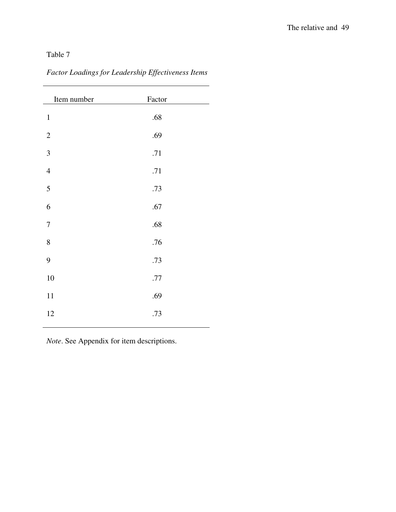| Item number             | Factor |  |
|-------------------------|--------|--|
| $\mathbf 1$             | .68    |  |
| $\overline{c}$          | .69    |  |
| $\overline{\mathbf{3}}$ | .71    |  |
| $\overline{4}$          | .71    |  |
| $\overline{5}$          | .73    |  |
| 6                       | .67    |  |
| $\boldsymbol{7}$        | .68    |  |
| 8                       | .76    |  |
| 9                       | .73    |  |
| 10                      | $.77$  |  |
| 11                      | .69    |  |
| 12                      | .73    |  |
|                         |        |  |

*Factor Loadings for Leadership Effectiveness Items* 

*Note*. See Appendix for item descriptions.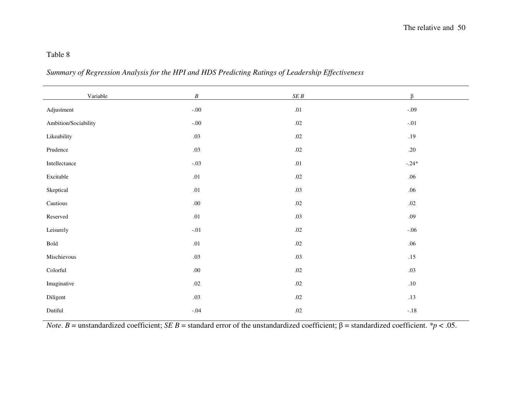### *Summary of Regression Analysis for the HPI and HDS Predicting Ratings of Leadership Effectiveness*

| Variable             | $\boldsymbol{B}$ | $\cal SE~B$ | $\beta$ |
|----------------------|------------------|-------------|---------|
| Adjustment           | $-.00$           | .01         | $-.09$  |
| Ambition/Sociability | $-.00$           | $.02\,$     | $-.01$  |
| Likeability          | $.03\,$          | $.02\,$     | .19     |
| Prudence             | .03              | $.02\,$     | .20     |
| Intellectance        | $-.03$           | .01         | $-.24*$ |
| Excitable            | $.01\,$          | $.02\,$     | .06     |
| Skeptical            | .01              | .03         | .06     |
| Cautious             | .00.             | $.02\,$     | $.02\,$ |
| $\rm Reserved$       | $.01\,$          | .03         | .09     |
| Leisurely            | $-.01$           | $.02\,$     | $-.06$  |
| Bold                 | .01              | $.02\,$     | .06     |
| Mischievous          | .03              | .03         | .15     |
| Colorful             | $.00\,$          | $.02\,$     | .03     |
| Imaginative          | $.02\,$          | $.02\,$     | $.10\,$ |
| Diligent             | .03              | $.02\,$     | .13     |
| Dutiful              | $-.04$           | $.02\,$     | $-.18$  |

*Note*. *B* = unstandardized coefficient; *SE B* = standard error of the unstandardized coefficient;  $\beta$  = standardized coefficient. *\*p* < .05.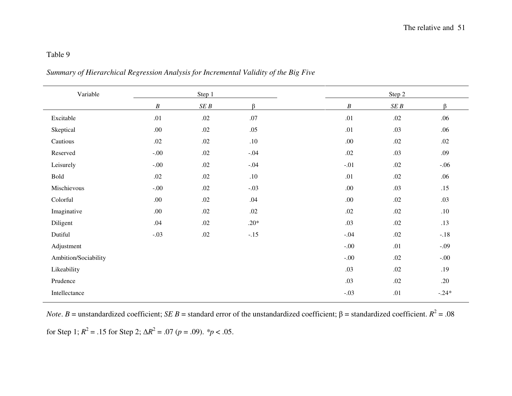| Summary of Hierarchical Regression Analysis for Incremental Validity of the Big Five |  |
|--------------------------------------------------------------------------------------|--|
|                                                                                      |  |
|                                                                                      |  |
|                                                                                      |  |

| Variable             |                  | Step 1      |         |                  | Step 2      |         |
|----------------------|------------------|-------------|---------|------------------|-------------|---------|
|                      | $\boldsymbol{B}$ | $\cal SE~B$ | $\beta$ | $\boldsymbol{B}$ | $\cal SE~B$ | β       |
| Excitable            | .01              | .02         | .07     | .01              | .02         | .06     |
| Skeptical            | $.00\,$          | $.02\,$     | .05     | .01              | .03         | .06     |
| Cautious             | $.02\,$          | $.02\,$     | $.10\,$ | .00.             | $.02\,$     | $.02\,$ |
| Reserved             | $-.00$           | $.02\,$     | $-.04$  | $.02\,$          | .03         | .09     |
| Leisurely            | $-.00$           | $.02\,$     | $-.04$  | $-.01$           | $.02\,$     | $-.06$  |
| Bold                 | .02              | $.02\,$     | .10     | .01              | .02         | .06     |
| Mischievous          | $-.00$           | $.02\,$     | $-.03$  | .00.             | .03         | .15     |
| Colorful             | .00.             | .02         | .04     | .00.             | .02         | .03     |
| Imaginative          | .00.             | .02         | .02     | $.02\,$          | .02         | .10     |
| Diligent             | .04              | $.02\,$     | $.20*$  | .03              | .02         | .13     |
| Dutiful              | $-.03$           | .02         | $-.15$  | $-.04$           | $.02\,$     | $-.18$  |
| Adjustment           |                  |             |         | $-.00$           | .01         | $-.09$  |
| Ambition/Sociability |                  |             |         | $-.00$           | .02         | $-.00.$ |
| Likeability          |                  |             |         | .03              | .02         | .19     |
| Prudence             |                  |             |         | .03              | .02         | .20     |
| Intellectance        |                  |             |         | $-.03$           | .01         | $-.24*$ |

*Note*. *B* = unstandardized coefficient; *SE B* = standard error of the unstandardized coefficient;  $\beta$  = standardized coefficient.  $R^2$  = .08

for Step 1;  $R^2 = .15$  for Step 2;  $\Delta R^2 = .07$  ( $p = .09$ ).  $\frac{4}{3}p < .05$ .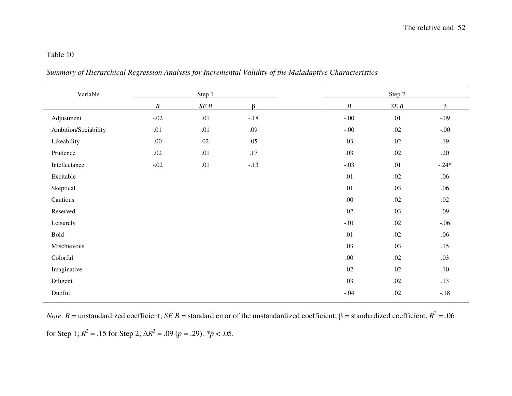| Summary of Hierarchical Regression Analysis for Incremental Validity of the Maladaptive Characteristics |  |  |  |
|---------------------------------------------------------------------------------------------------------|--|--|--|
|---------------------------------------------------------------------------------------------------------|--|--|--|

| Variable             |                  | Step 1      |         |                  | Step 2  |         |
|----------------------|------------------|-------------|---------|------------------|---------|---------|
|                      | $\boldsymbol{B}$ | $\cal SE~B$ | $\beta$ | $\boldsymbol{B}$ | SEB     | $\beta$ |
| Adjustment           | $-.02$           | .01         | $-.18$  | $-.00$           | .01     | $-.09$  |
| Ambition/Sociability | .01              | .01         | .09     | $-.00$           | $.02\,$ | $-00.$  |
| Likeability          | .00.             | $02\,$      | .05     | .03              | $.02\,$ | .19     |
| Prudence             | $.02\,$          | .01         | $.17\,$ | .03              | $.02\,$ | .20     |
| Intellectance        | $-.02$           | $.01\,$     | $-.13$  | $-.03$           | .01     | $-.24*$ |
| Excitable            |                  |             |         | .01              | $.02\,$ | .06     |
| Skeptical            |                  |             |         | .01              | .03     | .06     |
| Cautious             |                  |             |         | .00.             | .02     | .02     |
| Reserved             |                  |             |         | $.02\,$          | .03     | .09     |
| Leisurely            |                  |             |         | $-.01$           | $.02\,$ | $-.06$  |
| Bold                 |                  |             |         | .01              | $.02\,$ | .06     |
| Mischievous          |                  |             |         | .03              | .03     | .15     |
| Colorful             |                  |             |         | .00.             | $.02\,$ | .03     |
| Imaginative          |                  |             |         | $.02\,$          | $.02\,$ | $.10\,$ |
| Diligent             |                  |             |         | .03              | .02     | .13     |
| Dutiful              |                  |             |         | $-.04$           | $.02\,$ | $-.18$  |

*Note*. *B* = unstandardized coefficient; *SE B* = standard error of the unstandardized coefficient;  $\beta$  = standardized coefficient.  $R^2$  = .06

for Step 1;  $R^2 = .15$  for Step 2;  $\Delta R^2 = .09$  ( $p = .29$ ). *\*p* < .05.